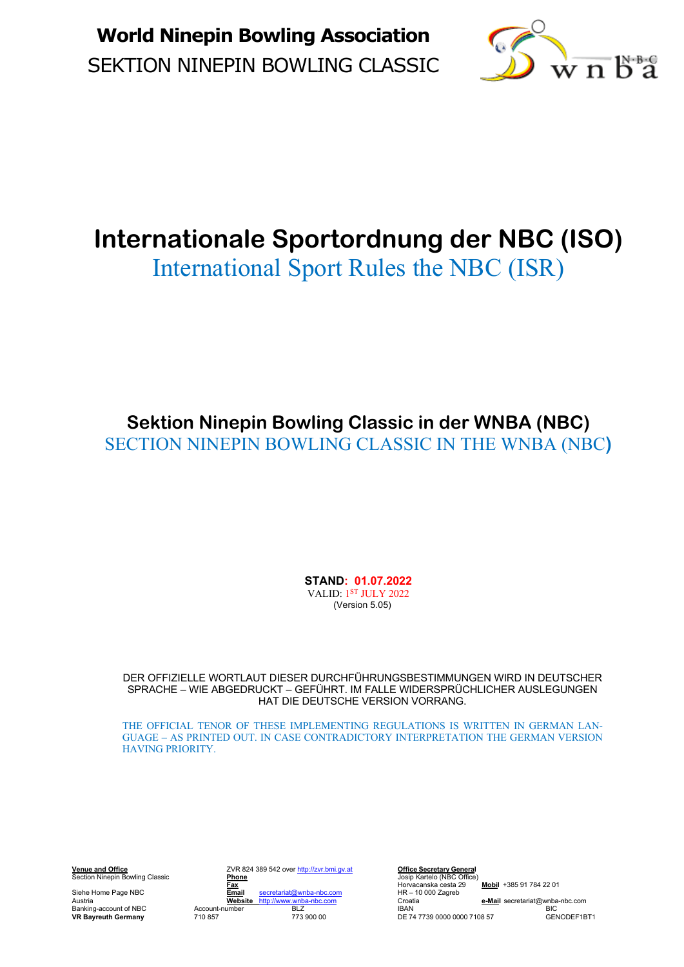

# **Internationale Sportordnung der NBC (ISO)**

International Sport Rules the NBC (ISR)

**Sektion Ninepin Bowling Classic in der WNBA (NBC)** SECTION NINEPIN BOWLING CLASSIC IN THE WNBA (NBC**)**

> **STAND: 01.07.2022** VALID: <sup>1ST</sup> JULY 2022 (Version 5.05)

DER OFFIZIELLE WORTLAUT DIESER DURCHFÜHRUNGSBESTIMMUNGEN WIRD IN DEUTSCHER SPRACHE – WIE ABGEDRUCKT – GEFÜHRT. IM FALLE WIDERSPRÜCHLICHER AUSLEGUNGEN HAT DIE DEUTSCHE VERSION VORRANG.

THE OFFICIAL TENOR OF THESE IMPLEMENTING REGULATIONS IS WRITTEN IN GERMAN LAN-GUAGE – AS PRINTED OUT. IN CASE CONTRADICTORY INTERPRETATION THE GERMAN VERSION HAVING PRIORITY.

**Venue and Office** ZVR 824 389 542 over http://zvr.bmi.gv.at **Office Secretary General Example and Office Ceretary General**<br>
Section Ninepin Bowling Classic **Phone**<br>
Siehe Horvecanska cesta Portugal<br>
Siehe Horvecanska cesta Phone<br>
Siehe Horvecanska cesta 29<br>
Siehe Horvecanska cesta 29<br>
HR – 10 000 Zagreb Siehe Home Page NBC **Email** secretariat@wnba-nbc.com **HR – 10**<br>Austria **Website** http://www.wnba-nbc.com **C**roatia **VR Bayreuth Germany** 710 857 773 900 00 **DE 74 7739 0000 0000 7108 57** 

**Fax** Horvacanska cesta 29 **Mobil** +385 91 784 22 01 Austria **Website** http://www.wnba-nbc.com Croatia **e-Mail** secretariat@wnba-nbc.com Banking-account of NBC Account-number **BLZ** BAN BIC<br> **BRAKing-account of NBC** BIC<br> **VR Bayreuth Germany** 710 857 773 900 00 DE 74 7739 0000 0000 7108 57 GENODEF1BT1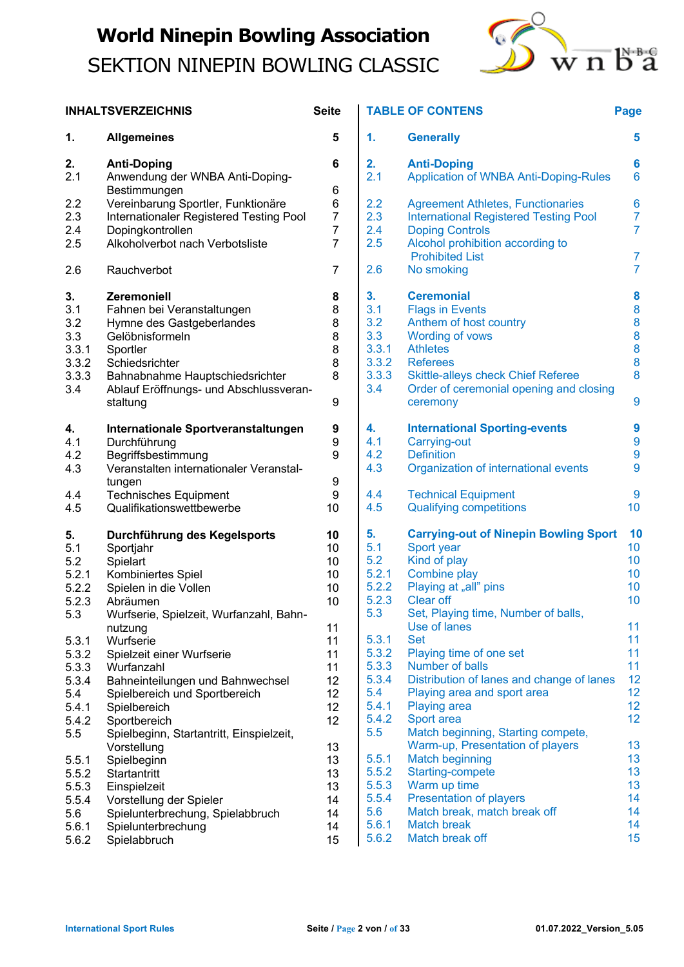

|                | <b>INHALTSVERZEICHNIS</b>                                 | <b>Seite</b> | ТA         |
|----------------|-----------------------------------------------------------|--------------|------------|
| 1.             | <b>Allgemeines</b>                                        | 5            | 1.         |
| 2.<br>2.1      | <b>Anti-Doping</b><br>Anwendung der WNBA Anti-Doping-     | 6            | 2.<br>2.1  |
| 2.2            | Bestimmungen<br>Vereinbarung Sportler, Funktionäre        | 6<br>6       | 2.2        |
| 2.3            | Internationaler Registered Testing Pool                   | 7            | 2.3        |
| 2.4            | Dopingkontrollen                                          | 7            | 2.4        |
| 2.5            | Alkoholverbot nach Verbotsliste                           | 7            | 2.5        |
| 2.6            | Rauchverbot                                               | 7            | 2.6        |
| 3.             | Zeremoniell                                               | 8            | 3.         |
| 3.1<br>3.2     | Fahnen bei Veranstaltungen                                | 8<br>8       | 3.1        |
| 3.3            | Hymne des Gastgeberlandes<br>Gelöbnisformeln              | 8            | 3.2<br>3.3 |
| 3.3.1          | Sportler                                                  | 8            | 3.3        |
| 3.3.2          | Schiedsrichter                                            | 8            | 3.3        |
| 3.3.3          | Bahnabnahme Hauptschiedsrichter                           | 8            | 3.3        |
| 3.4            | Ablauf Eröffnungs- und Abschlussveran-<br>staltung        | 9            | 3.4        |
| 4.             | Internationale Sportveranstaltungen                       | 9            | 4.         |
| 4.1            | Durchführung                                              | 9            | 4.1        |
| 4.2            | Begriffsbestimmung                                        | 9            | 4.2        |
| 4.3            | Veranstalten internationaler Veranstal-                   |              | 4.3        |
|                | tungen                                                    | 9            | 4.4        |
| 4.4<br>4.5     | <b>Technisches Equipment</b><br>Qualifikationswettbewerbe | 9<br>10      | 4.5        |
| 5.             | Durchführung des Kegelsports                              | 10           | 5.         |
| 5.1            | Sportjahr                                                 | 10           | 5.1        |
| 5.2            | Spielart                                                  | 10           | 5.2        |
| 5.2.1          | Kombiniertes Spiel                                        | 10           | 5.2        |
| 5.2.2          | Spielen in die Vollen                                     | 10           | 5.2        |
| 5.2.3<br>5.3   | Abräumen<br>Wurfserie, Spielzeit, Wurfanzahl, Bahn-       | 10           | 5.2<br>5.3 |
|                | nutzung                                                   | 11           |            |
| 5.3.1          | Wurfserie                                                 | 11           | 5.3        |
| 5.3.2          | Spielzeit einer Wurfserie                                 | 11           | 5.3        |
| 5.3.3          | Wurfanzahl                                                | 11           | 5.3        |
| 5.3.4          | Bahneinteilungen und Bahnwechsel                          | 12           | 5.3        |
| 5.4            | Spielbereich und Sportbereich                             | 12           | 5.4        |
| 5.4.1          | Spielbereich                                              | 12<br>12     | 5.4<br>5.4 |
| 5.4.2<br>5.5   | Sportbereich<br>Spielbeginn, Startantritt, Einspielzeit,  |              | 5.5        |
|                | Vorstellung                                               | 13           |            |
| 5.5.1          | Spielbeginn                                               | 13           | 5.5        |
| 5.5.2          | Startantritt                                              | 13           | 5.5        |
| 5.5.3          | Einspielzeit                                              | 13           | 5.5        |
| 5.5.4          | Vorstellung der Spieler                                   | 14           | 5.5        |
| 5.6            | Spielunterbrechung, Spielabbruch                          | 14           | 5.6<br>5.6 |
| 5.6.1<br>5.6.2 | Spielunterbrechung<br>Spielabbruch                        | 14<br>15     | 5.6        |
|                |                                                           |              |            |

#### $\mathbf{I}$ **TABLE OF CONTENS**

| ٩ | P. |        |
|---|----|--------|
|   |    | $\sim$ |

| <b>Anti-Doping</b>                                                                                                                                                                                                                        | 6                                    |
|-------------------------------------------------------------------------------------------------------------------------------------------------------------------------------------------------------------------------------------------|--------------------------------------|
| <b>Application of WNBA Anti-Doping-Rules</b>                                                                                                                                                                                              | 6                                    |
| <b>Agreement Athletes, Functionaries</b><br><b>International Registered Testing Pool</b><br><b>Doping Controls</b><br>Alcohol prohibition according to                                                                                    | 6<br>$\overline{7}$<br>7             |
| <b>Prohibited List</b>                                                                                                                                                                                                                    | 7                                    |
| No smoking                                                                                                                                                                                                                                | 7                                    |
| <b>Ceremonial</b><br><b>Flags in Events</b><br>Anthem of host country<br><b>Wording of vows</b><br><b>Athletes</b><br><b>Referees</b><br><b>Skittle-alleys check Chief Referee</b><br>Order of ceremonial opening and closing<br>ceremony | 8<br>8<br>8<br>8<br>8<br>8<br>8<br>9 |
| <b>International Sporting-events</b>                                                                                                                                                                                                      | 9                                    |
| <b>Carrying-out</b>                                                                                                                                                                                                                       | 9                                    |
| <b>Definition</b>                                                                                                                                                                                                                         | 9                                    |
| Organization of international events                                                                                                                                                                                                      | 9                                    |
| <b>Technical Equipment</b>                                                                                                                                                                                                                | 9                                    |
| <b>Qualifying competitions</b>                                                                                                                                                                                                            | 10                                   |
| <b>Carrying-out of Ninepin Bowling Sport</b>                                                                                                                                                                                              | 10                                   |
| Sport year                                                                                                                                                                                                                                | 10 <sup>1</sup>                      |
| Kind of play                                                                                                                                                                                                                              | 10 <sup>1</sup>                      |
| <b>Combine play</b>                                                                                                                                                                                                                       | 10                                   |
| Playing at "all" pins                                                                                                                                                                                                                     | 10                                   |
| <b>Clear off</b>                                                                                                                                                                                                                          | 10                                   |
| Set, Playing time, Number of balls,                                                                                                                                                                                                       | 11                                   |
| Set                                                                                                                                                                                                                                       | 11                                   |
| Playing time of one set                                                                                                                                                                                                                   | 11                                   |
| <b>Number of balls</b>                                                                                                                                                                                                                    | 11                                   |
| Distribution of lanes and change of lanes                                                                                                                                                                                                 | 12                                   |
| Playing area and sport area                                                                                                                                                                                                               | 12                                   |
| <b>Playing area</b>                                                                                                                                                                                                                       | 12                                   |
| Sport area                                                                                                                                                                                                                                | 12                                   |
| Match beginning, Starting compete,                                                                                                                                                                                                        | 13                                   |
| Warm-up, Presentation of players                                                                                                                                                                                                          | 13                                   |
| <b>Match beginning</b>                                                                                                                                                                                                                    | 13                                   |
| <b>Starting-compete</b>                                                                                                                                                                                                                   | 13                                   |
| Warm up time                                                                                                                                                                                                                              | 14                                   |
| <b>Presentation of players</b>                                                                                                                                                                                                            | 14                                   |
| Match break, match break off                                                                                                                                                                                                              | 14                                   |
| <b>Match break</b>                                                                                                                                                                                                                        | 15                                   |
|                                                                                                                                                                                                                                           | Use of lanes<br>Match break off      |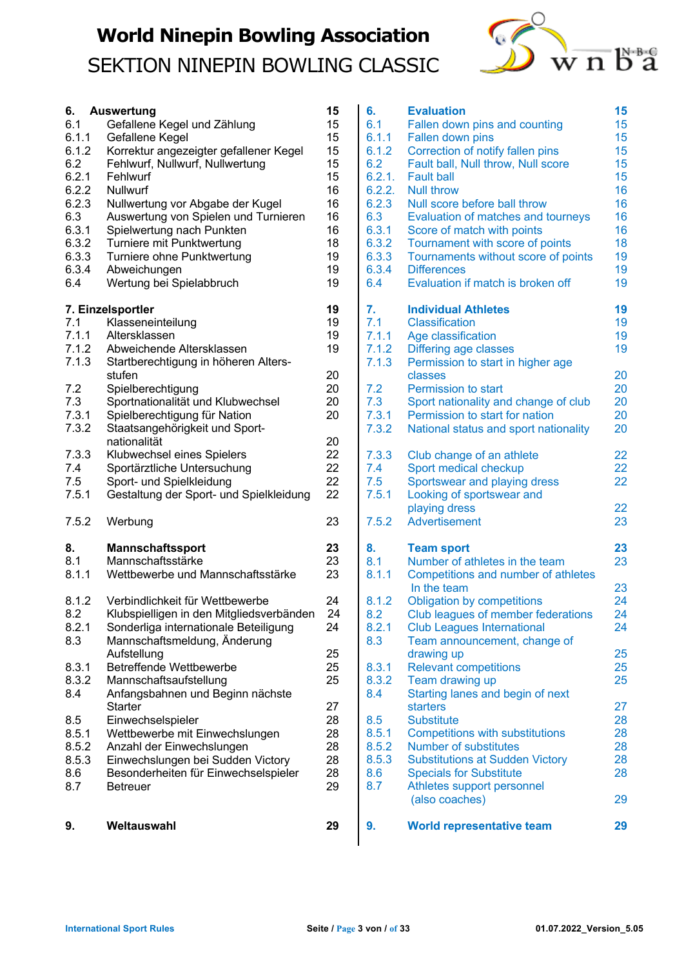

| 9.                                                                                                              | Weltauswahl                                                                                                                                                                                                                                                                                                                                                                              | 29                                                                               |
|-----------------------------------------------------------------------------------------------------------------|------------------------------------------------------------------------------------------------------------------------------------------------------------------------------------------------------------------------------------------------------------------------------------------------------------------------------------------------------------------------------------------|----------------------------------------------------------------------------------|
| 8.5<br>8.5.1<br>8.5.2<br>8.5.3<br>8.6<br>8.7                                                                    | Starter<br>Einwechselspieler<br>Wettbewerbe mit Einwechslungen<br>Anzahl der Einwechslungen<br>Einwechslungen bei Sudden Victory<br>Besonderheiten für Einwechselspieler<br><b>Betreuer</b>                                                                                                                                                                                              | 27<br>28<br>28<br>28<br>28<br>28<br>29                                           |
| 8.3.1<br>8.3.2<br>8.4                                                                                           | Aufstellung<br><b>Betreffende Wettbewerbe</b><br>Mannschaftsaufstellung<br>Anfangsbahnen und Beginn nächste                                                                                                                                                                                                                                                                              | 25<br>25<br>25                                                                   |
| 8.1.2<br>8.2<br>8.2.1<br>8.3                                                                                    | Verbindlichkeit für Wettbewerbe<br>Klubspielligen in den Mitgliedsverbänden<br>Sonderliga internationale Beteiligung<br>Mannschaftsmeldung, Änderung                                                                                                                                                                                                                                     | 24<br>24<br>24                                                                   |
| 8.<br>8.1<br>8.1.1                                                                                              | <b>Mannschaftssport</b><br>Mannschaftsstärke<br>Wettbewerbe und Mannschaftsstärke                                                                                                                                                                                                                                                                                                        | 23<br>23<br>23                                                                   |
| 7.5.2                                                                                                           | Werbung                                                                                                                                                                                                                                                                                                                                                                                  | 23                                                                               |
| 7.3.3<br>7.4<br>7.5<br>7.5.1                                                                                    | nationalität<br>Klubwechsel eines Spielers<br>Sportärztliche Untersuchung<br>Sport- und Spielkleidung<br>Gestaltung der Sport- und Spielkleidung                                                                                                                                                                                                                                         | 20<br>22<br>22<br>22<br>22                                                       |
| 7.1.3<br>7.2<br>7.3<br>7.3.1<br>7.3.2                                                                           | Startberechtigung in höheren Alters-<br>stufen<br>Spielberechtigung<br>Sportnationalität und Klubwechsel<br>Spielberechtigung für Nation<br>Staatsangehörigkeit und Sport-                                                                                                                                                                                                               | 20<br>20<br>20<br>20                                                             |
| 7.1<br>7.1.1<br>7.1.2                                                                                           | 7. Einzelsportler<br>Klasseneinteilung<br>Altersklassen<br>Abweichende Altersklassen                                                                                                                                                                                                                                                                                                     | 19<br>19<br>19<br>19                                                             |
| 6.<br>6.1<br>6.1.1<br>6.1.2<br>6.2<br>6.2.1<br>6.2.2<br>6.2.3<br>6.3<br>6.3.1<br>6.3.2<br>6.3.3<br>6.3.4<br>6.4 | <b>Auswertung</b><br>Gefallene Kegel und Zählung<br>Gefallene Kegel<br>Korrektur angezeigter gefallener Kegel<br>Fehlwurf, Nullwurf, Nullwertung<br>Fehlwurf<br>Nullwurf<br>Nullwertung vor Abgabe der Kugel<br>Auswertung von Spielen und Turnieren<br>Spielwertung nach Punkten<br>Turniere mit Punktwertung<br>Turniere ohne Punktwertung<br>Abweichungen<br>Wertung bei Spielabbruch | 15<br>15<br>15<br>15<br>15<br>15<br>16<br>16<br>16<br>16<br>18<br>19<br>19<br>19 |

| 6.<br>6.1<br>6.1.1<br>6.1.2<br>6.2<br>6.2.1.<br>6.2.2.<br>6.2.3<br>6.3<br>6.3.1<br>6.3.2<br>6.3.3<br>6.3.4<br>6.4 | <b>Evaluation</b><br>Fallen down pins and counting<br>Fallen down pins<br>Correction of notify fallen pins<br>Fault ball, Null throw, Null score<br><b>Fault ball</b><br><b>Null throw</b><br>Null score before ball throw<br>Evaluation of matches and tourneys<br>Score of match with points<br>Tournament with score of points<br>Tournaments without score of points<br><b>Differences</b><br>Evaluation if match is broken off | 15<br>15<br>15<br>15<br>15<br>15<br>16<br>16<br>16<br>16<br>18<br>19<br>19<br>19 |
|-------------------------------------------------------------------------------------------------------------------|-------------------------------------------------------------------------------------------------------------------------------------------------------------------------------------------------------------------------------------------------------------------------------------------------------------------------------------------------------------------------------------------------------------------------------------|----------------------------------------------------------------------------------|
| 7.<br>7.1<br>7.1.1<br>7.1.2<br>7.1.3                                                                              | <b>Individual Athletes</b><br><b>Classification</b><br>Age classification<br><b>Differing age classes</b><br>Permission to start in higher age                                                                                                                                                                                                                                                                                      | 19<br>19<br>19<br>19                                                             |
| 7.2<br>7.3<br>7.3.1<br>7.3.2                                                                                      | classes<br>Permission to start<br>Sport nationality and change of club<br>Permission to start for nation<br>National status and sport nationality                                                                                                                                                                                                                                                                                   | 20<br>20<br>20<br>20<br>20                                                       |
| 7.3.3<br>7.4<br>7.5<br>7.5.1<br>7.5.2                                                                             | Club change of an athlete<br>Sport medical checkup<br>Sportswear and playing dress<br>Looking of sportswear and<br>playing dress<br><b>Advertisement</b>                                                                                                                                                                                                                                                                            | 22<br>22<br>22<br>22<br>23                                                       |
| 8.<br>8.1                                                                                                         | <b>Team sport</b><br>Number of athletes in the team                                                                                                                                                                                                                                                                                                                                                                                 | 23<br>23                                                                         |
| 8.1.1<br>8.1.2<br>8.2<br>8.2.1<br>8.3                                                                             | Competitions and number of athletes<br>In the team<br><b>Obligation by competitions</b><br>Club leagues of member federations<br><b>Club Leagues International</b><br>Team announcement, change of<br>drawing up                                                                                                                                                                                                                    | 23<br>24<br>24<br>24<br>25                                                       |
| 8.3.1<br>8.3.2<br>8.4                                                                                             | <b>Relevant competitions</b><br>Team drawing up<br>Starting lanes and begin of next                                                                                                                                                                                                                                                                                                                                                 | 25<br>25                                                                         |
| 8.5<br>8.5.1<br>8.5.2<br>8.5.3<br>8.6<br>8.7                                                                      | starters<br><b>Substitute</b><br><b>Competitions with substitutions</b><br><b>Number of substitutes</b><br><b>Substitutions at Sudden Victory</b><br><b>Specials for Substitute</b><br>Athletes support personnel<br>(also coaches)                                                                                                                                                                                                 | 27<br>28<br>28<br>28<br>28<br>28<br>29                                           |
| 9.                                                                                                                | <b>World representative team</b>                                                                                                                                                                                                                                                                                                                                                                                                    | 29                                                                               |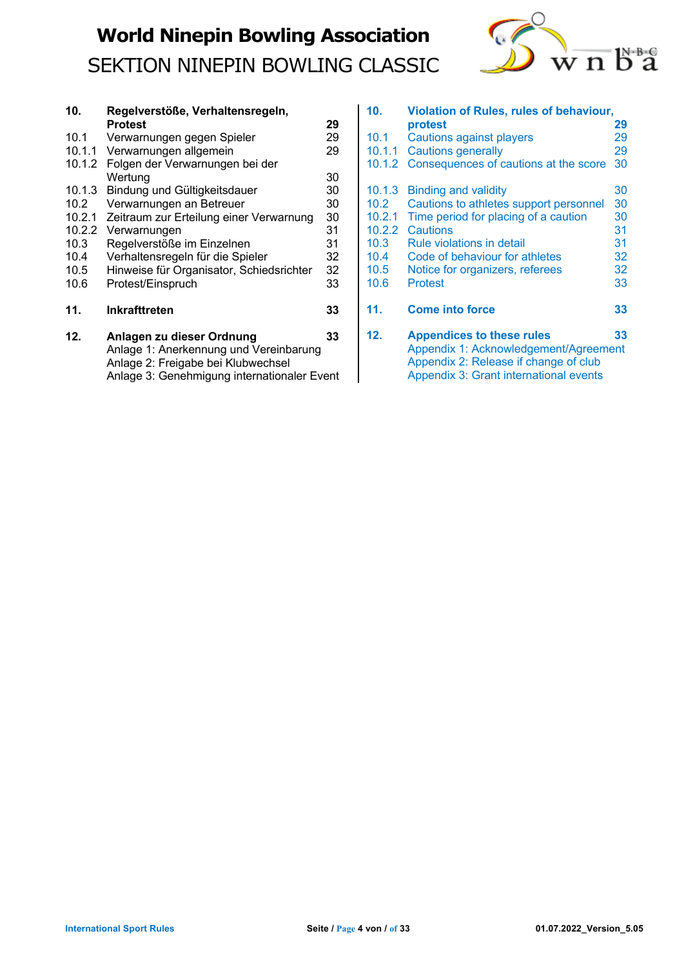

| 10.    | Regelverstöße, Verhaltensregeln,                                    |    |
|--------|---------------------------------------------------------------------|----|
|        | <b>Protest</b>                                                      | 29 |
| 10.1   | Verwarnungen gegen Spieler                                          | 29 |
| 10.1.1 | Verwarnungen allgemein                                              | 29 |
| 10.1.2 | Folgen der Verwarnungen bei der                                     |    |
|        | Wertung                                                             | 30 |
| 10.1.3 | Bindung und Gültigkeitsdauer                                        | 30 |
| 10.2   | Verwarnungen an Betreuer                                            | 30 |
| 10.2.1 | Zeitraum zur Erteilung einer Verwarnung                             | 30 |
| 10.2.2 | Verwarnungen                                                        | 31 |
| 10.3   | Regelverstöße im Einzelnen                                          | 31 |
| 10.4   | Verhaltensregeln für die Spieler                                    | 32 |
| 10.5   | Hinweise für Organisator, Schiedsrichter                            | 32 |
| 10.6   | Protest/Einspruch                                                   | 33 |
| 11.    | <b>Inkrafttreten</b>                                                | 33 |
| 12.    | Anlagen zu dieser Ordnung<br>Anlage 1: Anerkennung und Vereinharung | 33 |

| IZ. | Alliagen zu dieser Ordnung                  | JЭ |
|-----|---------------------------------------------|----|
|     | Anlage 1: Anerkennung und Vereinbarung      |    |
|     | Anlage 2: Freigabe bei Klubwechsel          |    |
|     | Anlage 3: Genehmigung internationaler Event |    |
|     |                                             |    |

| 10 <sub>1</sub> | <b>Violation of Rules, rules of behaviour,</b> |    |  |  |
|-----------------|------------------------------------------------|----|--|--|
|                 | protest                                        | 29 |  |  |
| 10.1            | Cautions against players                       | 29 |  |  |
| 10.1.1          | <b>Cautions generally</b>                      | 29 |  |  |
| 10.1.2          | Consequences of cautions at the score          | 30 |  |  |
| 10.1.3          | Binding and validity                           | 30 |  |  |
| 10.2            | Cautions to athletes support personnel         | 30 |  |  |
| 10.2.1          | Time period for placing of a caution           | 30 |  |  |
| 10.2.2          | Cautions                                       | 31 |  |  |
| 10.3            | Rule violations in detail                      | 31 |  |  |
| 10.4            | Code of behaviour for athletes                 | 32 |  |  |
| 10.5            | Notice for organizers, referees                | 32 |  |  |
| 10.6            | <b>Protest</b>                                 | 33 |  |  |
| 11.             | <b>Come into force</b>                         | 33 |  |  |
| 12.             | <b>Appendices to these rules</b>               | 33 |  |  |
|                 | Appendix 1: Acknowledgement/Agreement          |    |  |  |
|                 | Appendix 2: Release if change of club          |    |  |  |
|                 | Appendix 3: Grant international events         |    |  |  |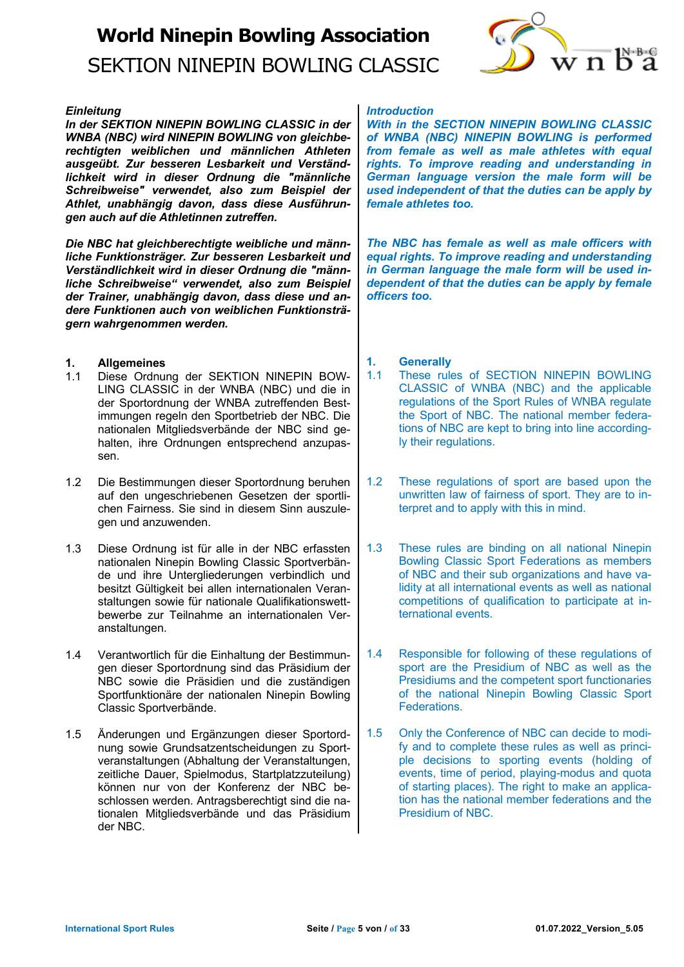# **World Ninepin Bowling Association**

## SEKTION NINEPIN BOWLING CLASSIC



## *Einleitung*

*In der SEKTION NINEPIN BOWLING CLASSIC in der WNBA (NBC) wird NINEPIN BOWLING von gleichberechtigten weiblichen und männlichen Athleten ausgeübt. Zur besseren Lesbarkeit und Verständlichkeit wird in dieser Ordnung die "männliche Schreibweise" verwendet, also zum Beispiel der Athlet, unabhängig davon, dass diese Ausführungen auch auf die Athletinnen zutreffen.* 

*Die NBC hat gleichberechtigte weibliche und männliche Funktionsträger. Zur besseren Lesbarkeit und Verständlichkeit wird in dieser Ordnung die "männliche Schreibweise" verwendet, also zum Beispiel der Trainer, unabhängig davon, dass diese und andere Funktionen auch von weiblichen Funktionsträgern wahrgenommen werden.* 

## **1. Allgemeines**

- 1.1 Diese Ordnung der SEKTION NINEPIN BOW-LING CLASSIC in der WNBA (NBC) und die in der Sportordnung der WNBA zutreffenden Bestimmungen regeln den Sportbetrieb der NBC. Die nationalen Mitgliedsverbände der NBC sind gehalten, ihre Ordnungen entsprechend anzupassen.
- 1.2 Die Bestimmungen dieser Sportordnung beruhen auf den ungeschriebenen Gesetzen der sportlichen Fairness. Sie sind in diesem Sinn auszulegen und anzuwenden.
- 1.3 Diese Ordnung ist für alle in der NBC erfassten nationalen Ninepin Bowling Classic Sportverbände und ihre Untergliederungen verbindlich und besitzt Gültigkeit bei allen internationalen Veranstaltungen sowie für nationale Qualifikationswettbewerbe zur Teilnahme an internationalen Veranstaltungen.
- 1.4 Verantwortlich für die Einhaltung der Bestimmungen dieser Sportordnung sind das Präsidium der NBC sowie die Präsidien und die zuständigen Sportfunktionäre der nationalen Ninepin Bowling Classic Sportverbände.
- 1.5 Änderungen und Ergänzungen dieser Sportordnung sowie Grundsatzentscheidungen zu Sportveranstaltungen (Abhaltung der Veranstaltungen, zeitliche Dauer, Spielmodus, Startplatzzuteilung) können nur von der Konferenz der NBC beschlossen werden. Antragsberechtigt sind die nationalen Mitgliedsverbände und das Präsidium der NBC.

#### *Introduction*

*With in the SECTION NINEPIN BOWLING CLASSIC of WNBA (NBC) NINEPIN BOWLING is performed from female as well as male athletes with equal rights. To improve reading and understanding in German language version the male form will be used independent of that the duties can be apply by female athletes too.*

*The NBC has female as well as male officers with equal rights. To improve reading and understanding in German language the male form will be used independent of that the duties can be apply by female officers too.*

## **1. Generally**

- 1.1 These rules of SECTION NINEPIN BOWLING CLASSIC of WNBA (NBC) and the applicable regulations of the Sport Rules of WNBA regulate the Sport of NBC. The national member federations of NBC are kept to bring into line accordingly their regulations.
- 1.2 These regulations of sport are based upon the unwritten law of fairness of sport. They are to interpret and to apply with this in mind.
- 1.3 These rules are binding on all national Ninepin Bowling Classic Sport Federations as members of NBC and their sub organizations and have validity at all international events as well as national competitions of qualification to participate at international events.
- 1.4 Responsible for following of these regulations of sport are the Presidium of NBC as well as the Presidiums and the competent sport functionaries of the national Ninepin Bowling Classic Sport Federations.
- 1.5 Only the Conference of NBC can decide to modify and to complete these rules as well as principle decisions to sporting events (holding of events, time of period, playing-modus and quota of starting places). The right to make an application has the national member federations and the Presidium of NBC.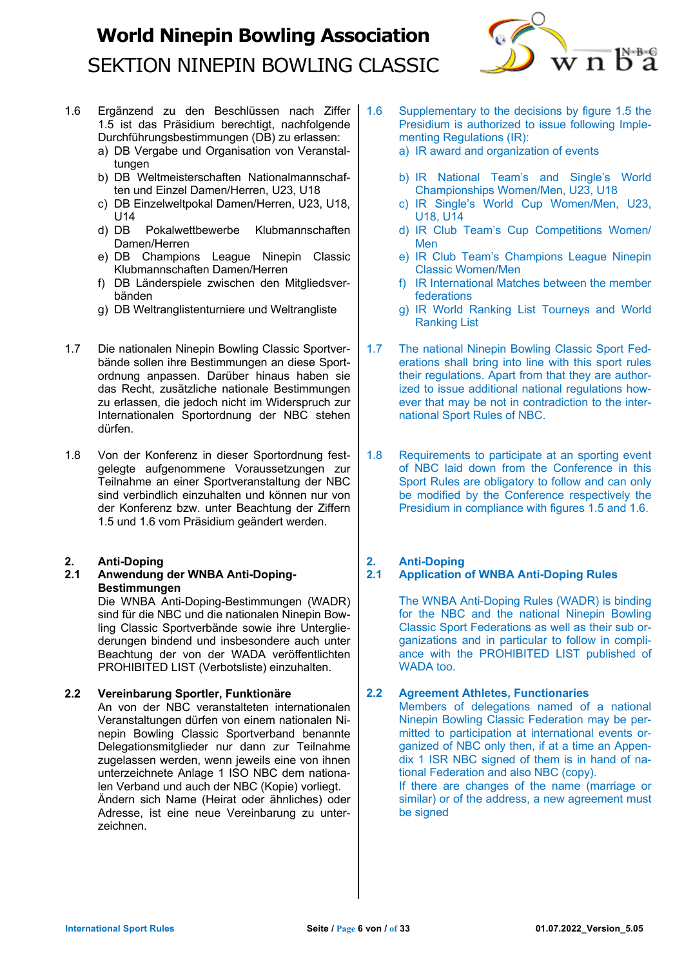

- 1.6 Ergänzend zu den Beschlüssen nach Ziffer 1.5 ist das Präsidium berechtigt, nachfolgende Durchführungsbestimmungen (DB) zu erlassen:
	- a) DB Vergabe und Organisation von Veranstaltungen
	- b) DB Weltmeisterschaften Nationalmannschaften und Einzel Damen/Herren, U23, U18
	- c) DB Einzelweltpokal Damen/Herren, U23, U18, U14
	- d) DB Pokalwettbewerbe Klubmannschaften Damen/Herren
	- e) DB Champions League Ninepin Classic Klubmannschaften Damen/Herren
	- f) DB Länderspiele zwischen den Mitgliedsverbänden
	- g) DB Weltranglistenturniere und Weltrangliste
- 1.7 Die nationalen Ninepin Bowling Classic Sportverbände sollen ihre Bestimmungen an diese Sportordnung anpassen. Darüber hinaus haben sie das Recht, zusätzliche nationale Bestimmungen zu erlassen, die jedoch nicht im Widerspruch zur Internationalen Sportordnung der NBC stehen dürfen.
- 1.8 Von der Konferenz in dieser Sportordnung festgelegte aufgenommene Voraussetzungen zur Teilnahme an einer Sportveranstaltung der NBC sind verbindlich einzuhalten und können nur von der Konferenz bzw. unter Beachtung der Ziffern 1.5 und 1.6 vom Präsidium geändert werden.

## **2. Anti-Doping**

**2.1 Anwendung der WNBA Anti-Doping-Bestimmungen** 

Die WNBA Anti-Doping-Bestimmungen (WADR) sind für die NBC und die nationalen Ninepin Bowling Classic Sportverbände sowie ihre Untergliederungen bindend und insbesondere auch unter Beachtung der von der WADA veröffentlichten PROHIBITED LIST (Verbotsliste) einzuhalten.

## **2.2 Vereinbarung Sportler, Funktionäre**

An von der NBC veranstalteten internationalen Veranstaltungen dürfen von einem nationalen Ninepin Bowling Classic Sportverband benannte Delegationsmitglieder nur dann zur Teilnahme zugelassen werden, wenn jeweils eine von ihnen unterzeichnete Anlage 1 ISO NBC dem nationalen Verband und auch der NBC (Kopie) vorliegt. Ändern sich Name (Heirat oder ähnliches) oder Adresse, ist eine neue Vereinbarung zu unterzeichnen.

- 1.6 Supplementary to the decisions by figure 1.5 the Presidium is authorized to issue following Implementing Regulations (IR):
	- a) IR award and organization of events
	- b) IR National Team's and Single's World Championships Women/Men, U23, U18
	- c) IR Single's World Cup Women/Men, U23, U18, U14
	- d) IR Club Team's Cup Competitions Women/ Men
	- e) IR Club Team's Champions League Ninepin Classic Women/Men
	- f) IR International Matches between the member federations
	- g) IR World Ranking List Tourneys and World Ranking List
- 1.7 The national Ninepin Bowling Classic Sport Federations shall bring into line with this sport rules their regulations. Apart from that they are authorized to issue additional national regulations however that may be not in contradiction to the international Sport Rules of NBC.
- 1.8 Requirements to participate at an sporting event of NBC laid down from the Conference in this Sport Rules are obligatory to follow and can only be modified by the Conference respectively the Presidium in compliance with figures 1.5 and 1.6.

## **2. Anti-Doping**

## **2.1 Application of WNBA Anti-Doping Rules**

The WNBA Anti-Doping Rules (WADR) is binding for the NBC and the national Ninepin Bowling Classic Sport Federations as well as their sub organizations and in particular to follow in compliance with the PROHIBITED LIST published of WADA too.

## **2.2 Agreement Athletes, Functionaries**

Members of delegations named of a national Ninepin Bowling Classic Federation may be permitted to participation at international events organized of NBC only then, if at a time an Appendix 1 ISR NBC signed of them is in hand of national Federation and also NBC (copy).

If there are changes of the name (marriage or similar) or of the address, a new agreement must be signed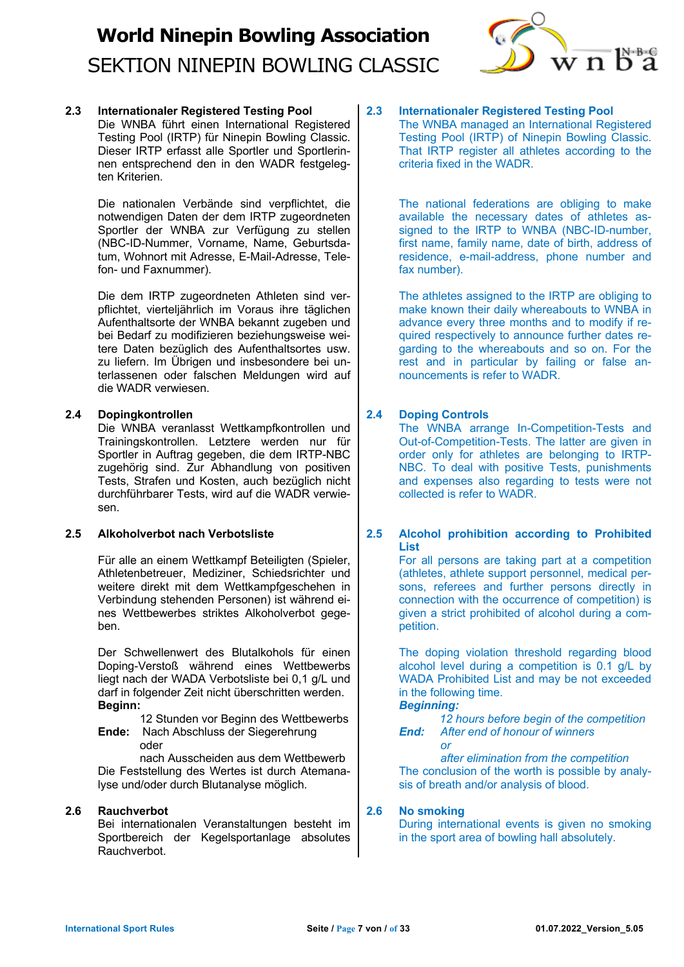

**2.3 Internationaler Registered Testing Pool** Die WNBA führt einen International Registered Testing Pool (IRTP) für Ninepin Bowling Classic. Dieser IRTP erfasst alle Sportler und Sportlerinnen entsprechend den in den WADR festgelegten Kriterien.

> Die nationalen Verbände sind verpflichtet, die notwendigen Daten der dem IRTP zugeordneten Sportler der WNBA zur Verfügung zu stellen (NBC-ID-Nummer, Vorname, Name, Geburtsdatum, Wohnort mit Adresse, E-Mail-Adresse, Telefon- und Faxnummer).

> Die dem IRTP zugeordneten Athleten sind verpflichtet, vierteljährlich im Voraus ihre täglichen Aufenthaltsorte der WNBA bekannt zugeben und bei Bedarf zu modifizieren beziehungsweise weitere Daten bezüglich des Aufenthaltsortes usw. zu liefern. Im Übrigen und insbesondere bei unterlassenen oder falschen Meldungen wird auf die WADR verwiesen.

## **2.4 Dopingkontrollen**

Die WNBA veranlasst Wettkampfkontrollen und Trainingskontrollen. Letztere werden nur für Sportler in Auftrag gegeben, die dem IRTP-NBC zugehörig sind. Zur Abhandlung von positiven Tests, Strafen und Kosten, auch bezüglich nicht durchführbarer Tests, wird auf die WADR verwiesen.

## **2.5 Alkoholverbot nach Verbotsliste**

Für alle an einem Wettkampf Beteiligten (Spieler, Athletenbetreuer, Mediziner, Schiedsrichter und weitere direkt mit dem Wettkampfgeschehen in Verbindung stehenden Personen) ist während eines Wettbewerbes striktes Alkoholverbot gegeben.

Der Schwellenwert des Blutalkohols für einen Doping-Verstoß während eines Wettbewerbs liegt nach der WADA Verbotsliste bei 0,1 g/L und darf in folgender Zeit nicht überschritten werden. **Beginn:** 

 12 Stunden vor Beginn des Wettbewerbs **Ende:** Nach Abschluss der Siegerehrung

oder

 nach Ausscheiden aus dem Wettbewerb Die Feststellung des Wertes ist durch Atemanalyse und/oder durch Blutanalyse möglich.

#### **2.6 Rauchverbot**

Bei internationalen Veranstaltungen besteht im Sportbereich der Kegelsportanlage absolutes Rauchverbot.

**2.3 Internationaler Registered Testing Pool** The WNBA managed an International Registered Testing Pool (IRTP) of Ninepin Bowling Classic. That IRTP register all athletes according to the criteria fixed in the WADR.

> The national federations are obliging to make available the necessary dates of athletes assigned to the IRTP to WNBA (NBC-ID-number, first name, family name, date of birth, address of residence, e-mail-address, phone number and fax number).

> The athletes assigned to the IRTP are obliging to make known their daily whereabouts to WNBA in advance every three months and to modify if required respectively to announce further dates regarding to the whereabouts and so on. For the rest and in particular by failing or false announcements is refer to WADR.

## **2.4 Doping Controls**

The WNBA arrange In-Competition-Tests and Out-of-Competition-Tests. The latter are given in order only for athletes are belonging to IRTP-NBC. To deal with positive Tests, punishments and expenses also regarding to tests were not collected is refer to WADR.

### **2.5 Alcohol prohibition according to Prohibited List**

For all persons are taking part at a competition (athletes, athlete support personnel, medical persons, referees and further persons directly in connection with the occurrence of competition) is given a strict prohibited of alcohol during a competition.

The doping violation threshold regarding blood alcohol level during a competition is 0.1 g/L by WADA Prohibited List and may be not exceeded in the following time.

*Beginning:*

 *or*

 *12 hours before begin of the competition End: After end of honour of winners*

 *after elimination from the competition* The conclusion of the worth is possible by analysis of breath and/or analysis of blood.

## **2.6 No smoking**

During international events is given no smoking in the sport area of bowling hall absolutely.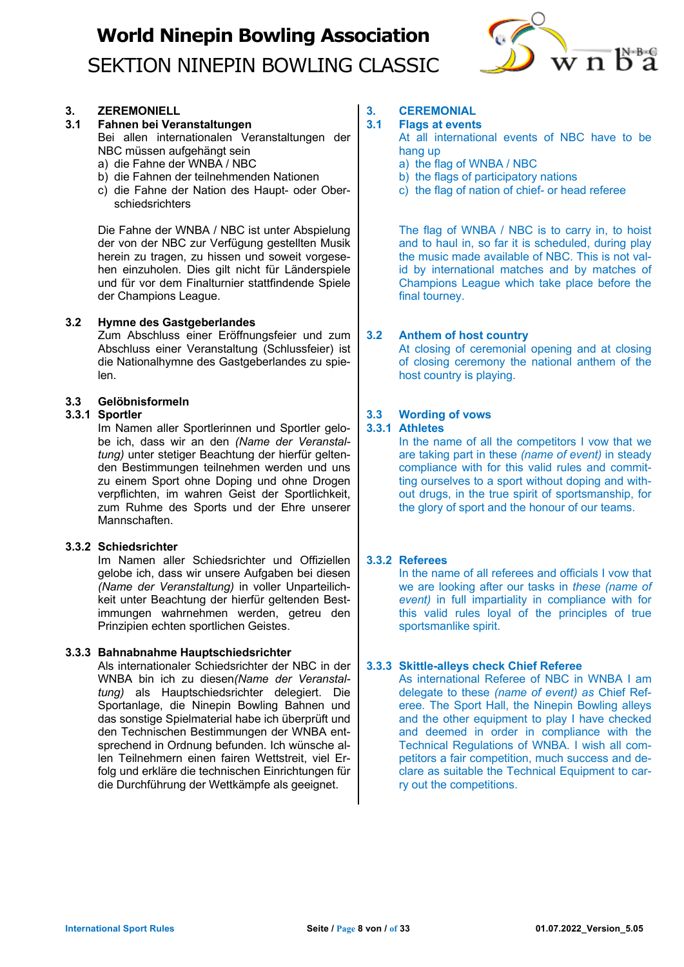

## **3. ZEREMONIELL**

## **3.1 Fahnen bei Veranstaltungen**

Bei allen internationalen Veranstaltungen der NBC müssen aufgehängt sein

- a) die Fahne der WNBA / NBC
- b) die Fahnen der teilnehmenden Nationen
- c) die Fahne der Nation des Haupt- oder Oberschiedsrichters

Die Fahne der WNBA / NBC ist unter Abspielung der von der NBC zur Verfügung gestellten Musik herein zu tragen, zu hissen und soweit vorgesehen einzuholen. Dies gilt nicht für Länderspiele und für vor dem Finalturnier stattfindende Spiele der Champions League.

### **3.2 Hymne des Gastgeberlandes**

Zum Abschluss einer Eröffnungsfeier und zum Abschluss einer Veranstaltung (Schlussfeier) ist die Nationalhymne des Gastgeberlandes zu spielen.

### **3.3 Gelöbnisformeln**

## **3.3.1 Sportler**

Im Namen aller Sportlerinnen und Sportler gelobe ich, dass wir an den *(Name der Veranstaltung)* unter stetiger Beachtung der hierfür geltenden Bestimmungen teilnehmen werden und uns zu einem Sport ohne Doping und ohne Drogen verpflichten, im wahren Geist der Sportlichkeit, zum Ruhme des Sports und der Ehre unserer Mannschaften.

## **3.3.2 Schiedsrichter**

Im Namen aller Schiedsrichter und Offiziellen gelobe ich, dass wir unsere Aufgaben bei diesen *(Name der Veranstaltung)* in voller Unparteilichkeit unter Beachtung der hierfür geltenden Bestimmungen wahrnehmen werden, getreu den Prinzipien echten sportlichen Geistes.

## **3.3.3 Bahnabnahme Hauptschiedsrichter**

Als internationaler Schiedsrichter der NBC in der WNBA bin ich zu diesen*(Name der Veranstaltung)* als Hauptschiedsrichter delegiert. Die Sportanlage, die Ninepin Bowling Bahnen und das sonstige Spielmaterial habe ich überprüft und den Technischen Bestimmungen der WNBA entsprechend in Ordnung befunden. Ich wünsche allen Teilnehmern einen fairen Wettstreit, viel Erfolg und erkläre die technischen Einrichtungen für die Durchführung der Wettkämpfe als geeignet.

## **3. CEREMONIAL**

## **3.1 Flags at events**

At all international events of NBC have to be hang up

- a) the flag of WNBA / NBC
- b) the flags of participatory nations
- c) the flag of nation of chief- or head referee

The flag of WNBA / NBC is to carry in, to hoist and to haul in, so far it is scheduled, during play the music made available of NBC. This is not valid by international matches and by matches of Champions League which take place before the final tourney.

## **3.2 Anthem of host country**

At closing of ceremonial opening and at closing of closing ceremony the national anthem of the host country is playing.

### **3.3 Wording of vows**

#### **3.3.1 Athletes**

In the name of all the competitors I vow that we are taking part in these *(name of event)* in steady compliance with for this valid rules and committing ourselves to a sport without doping and without drugs, in the true spirit of sportsmanship, for the glory of sport and the honour of our teams.

## **3.3.2 Referees**

In the name of all referees and officials I vow that we are looking after our tasks in *these (name of event)* in full impartiality in compliance with for this valid rules loyal of the principles of true sportsmanlike spirit.

#### **3.3.3 Skittle-alleys check Chief Referee**

As international Referee of NBC in WNBA I am delegate to these *(name of event) as* Chief Referee. The Sport Hall, the Ninepin Bowling alleys and the other equipment to play I have checked and deemed in order in compliance with the Technical Regulations of WNBA. I wish all competitors a fair competition, much success and declare as suitable the Technical Equipment to carry out the competitions.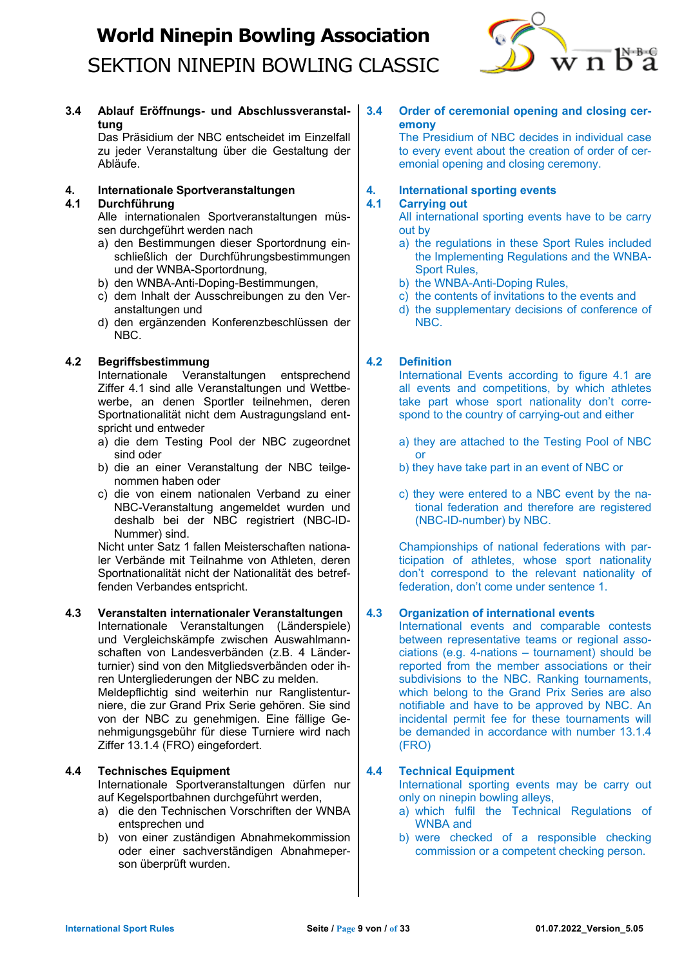

**3.4 Ablauf Eröffnungs- und Abschlussveranstaltung**

Das Präsidium der NBC entscheidet im Einzelfall zu jeder Veranstaltung über die Gestaltung der Abläufe.

## **4. Internationale Sportveranstaltungen**

## **4.1 Durchführung**

Alle internationalen Sportveranstaltungen müssen durchgeführt werden nach

- a) den Bestimmungen dieser Sportordnung einschließlich der Durchführungsbestimmungen und der WNBA-Sportordnung,
- b) den WNBA-Anti-Doping-Bestimmungen,
- c) dem Inhalt der Ausschreibungen zu den Veranstaltungen und
- d) den ergänzenden Konferenzbeschlüssen der NBC.

## **4.2 Begriffsbestimmung**

Internationale Veranstaltungen entsprechend Ziffer 4.1 sind alle Veranstaltungen und Wettbewerbe, an denen Sportler teilnehmen, deren Sportnationalität nicht dem Austragungsland entspricht und entweder

- a) die dem Testing Pool der NBC zugeordnet sind oder
- b) die an einer Veranstaltung der NBC teilgenommen haben oder
- c) die von einem nationalen Verband zu einer NBC-Veranstaltung angemeldet wurden und deshalb bei der NBC registriert (NBC-ID-Nummer) sind.

Nicht unter Satz 1 fallen Meisterschaften nationaler Verbände mit Teilnahme von Athleten, deren Sportnationalität nicht der Nationalität des betreffenden Verbandes entspricht.

## **4.3 Veranstalten internationaler Veranstaltungen**

Internationale Veranstaltungen (Länderspiele) und Vergleichskämpfe zwischen Auswahlmannschaften von Landesverbänden (z.B. 4 Länderturnier) sind von den Mitgliedsverbänden oder ihren Untergliederungen der NBC zu melden.

Meldepflichtig sind weiterhin nur Ranglistenturniere, die zur Grand Prix Serie gehören. Sie sind von der NBC zu genehmigen. Eine fällige Genehmigungsgebühr für diese Turniere wird nach Ziffer 13.1.4 (FRO) eingefordert.

## **4.4 Technisches Equipment**

Internationale Sportveranstaltungen dürfen nur auf Kegelsportbahnen durchgeführt werden,

- a) die den Technischen Vorschriften der WNBA entsprechen und
- b) von einer zuständigen Abnahmekommission oder einer sachverständigen Abnahmeperson überprüft wurden.

### **3.4 Order of ceremonial opening and closing ceremony**

The Presidium of NBC decides in individual case to every event about the creation of order of ceremonial opening and closing ceremony.

#### **4. International sporting events 4.1 Carrying out**

## All international sporting events have to be carry out by

- a) the regulations in these Sport Rules included the Implementing Regulations and the WNBA-Sport Rules,
- b) the WNBA-Anti-Doping Rules,
- c) the contents of invitations to the events and
- d) the supplementary decisions of conference of NBC.

## **4.2 Definition**

International Events according to figure 4.1 are all events and competitions, by which athletes take part whose sport nationality don't correspond to the country of carrying-out and either

- a) they are attached to the Testing Pool of NBC or
- b) they have take part in an event of NBC or
- c) they were entered to a NBC event by the national federation and therefore are registered (NBC-ID-number) by NBC.

Championships of national federations with participation of athletes, whose sport nationality don't correspond to the relevant nationality of federation, don't come under sentence 1.

## **4.3 Organization of international events**

International events and comparable contests between representative teams or regional associations (e.g. 4-nations – tournament) should be reported from the member associations or their subdivisions to the NBC. Ranking tournaments, which belong to the Grand Prix Series are also notifiable and have to be approved by NBC. An incidental permit fee for these tournaments will be demanded in accordance with number 13.1.4 (FRO)

## **4.4 Technical Equipment**

International sporting events may be carry out only on ninepin bowling alleys,

- a) which fulfil the Technical Regulations of WNBA and
- b) were checked of a responsible checking commission or a competent checking person.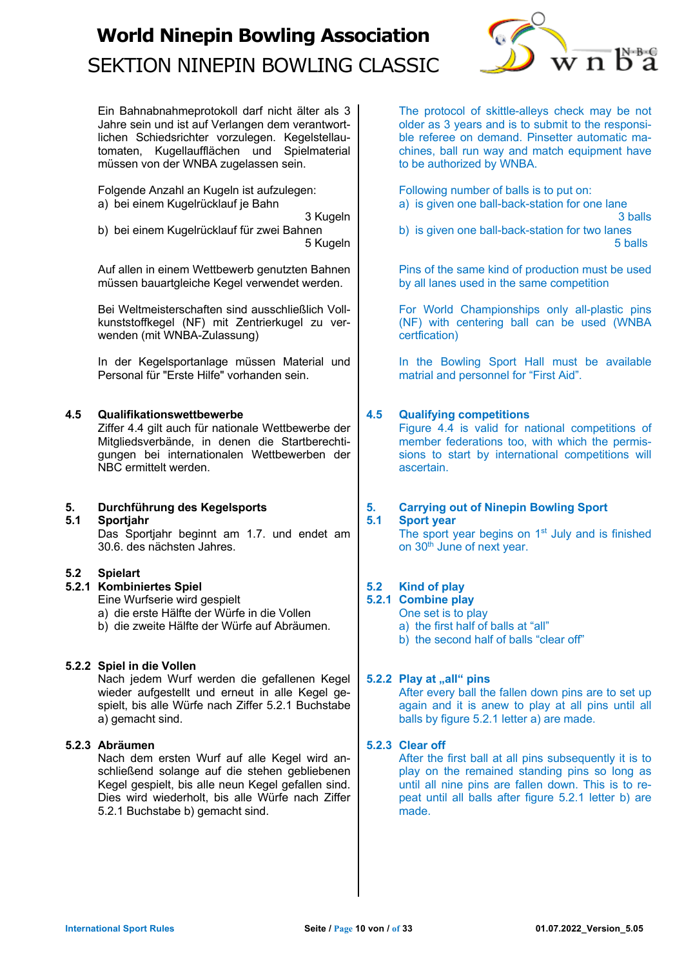

Ein Bahnabnahmeprotokoll darf nicht älter als 3 Jahre sein und ist auf Verlangen dem verantwortlichen Schiedsrichter vorzulegen. Kegelstellautomaten, Kugellaufflächen und Spielmaterial müssen von der WNBA zugelassen sein.

Folgende Anzahl an Kugeln ist aufzulegen: a) bei einem Kugelrücklauf je Bahn

3 Kugeln

b) bei einem Kugelrücklauf für zwei Bahnen 5 Kugeln

Auf allen in einem Wettbewerb genutzten Bahnen müssen bauartgleiche Kegel verwendet werden.

Bei Weltmeisterschaften sind ausschließlich Vollkunststoffkegel (NF) mit Zentrierkugel zu verwenden (mit WNBA-Zulassung)

In der Kegelsportanlage müssen Material und Personal für "Erste Hilfe" vorhanden sein.

## **4.5 Qualifikationswettbewerbe**

Ziffer 4.4 gilt auch für nationale Wettbewerbe der Mitgliedsverbände, in denen die Startberechtigungen bei internationalen Wettbewerben der NBC ermittelt werden.

## **5. Durchführung des Kegelsports**

**5.1 Sportjahr** Das Sportjahr beginnt am 1.7. und endet am 30.6. des nächsten Jahres.

## **5.2 Spielart**

## **5.2.1 Kombiniertes Spiel**

Eine Wurfserie wird gespielt

- a) die erste Hälfte der Würfe in die Vollen
- b) die zweite Hälfte der Würfe auf Abräumen.

## **5.2.2 Spiel in die Vollen**

Nach jedem Wurf werden die gefallenen Kegel wieder aufgestellt und erneut in alle Kegel gespielt, bis alle Würfe nach Ziffer 5.2.1 Buchstabe a) gemacht sind.

## **5.2.3 Abräumen**

Nach dem ersten Wurf auf alle Kegel wird anschließend solange auf die stehen gebliebenen Kegel gespielt, bis alle neun Kegel gefallen sind. Dies wird wiederholt, bis alle Würfe nach Ziffer 5.2.1 Buchstabe b) gemacht sind.

The protocol of skittle-alleys check may be not older as 3 years and is to submit to the responsible referee on demand. Pinsetter automatic machines, ball run way and match equipment have to be authorized by WNBA.

Following number of balls is to put on:

a) is given one ball-back-station for one lane 3 balls

b) is given one ball-back-station for two lanes 5 balls

Pins of the same kind of production must be used by all lanes used in the same competition

For World Championships only all-plastic pins (NF) with centering ball can be used (WNBA certfication)

In the Bowling Sport Hall must be available matrial and personnel for "First Aid".

## **4.5 Qualifying competitions**

Figure 4.4 is valid for national competitions of member federations too, with which the permissions to start by international competitions will ascertain.

#### **5. Carrying out of Ninepin Bowling Sport 5.1 Sport year**

The sport year begins on 1<sup>st</sup> July and is finished on 30<sup>th</sup> June of next year.

## **5.2 Kind of play**

**5.2.1 Combine play**

One set is to play a) the first half of balls at "all"

b) the second half of balls "clear off"

## **5.2.2 Play at ..all**" pins

After every ball the fallen down pins are to set up again and it is anew to play at all pins until all balls by figure 5.2.1 letter a) are made.

## **5.2.3 Clear off**

After the first ball at all pins subsequently it is to play on the remained standing pins so long as until all nine pins are fallen down. This is to repeat until all balls after figure 5.2.1 letter b) are made.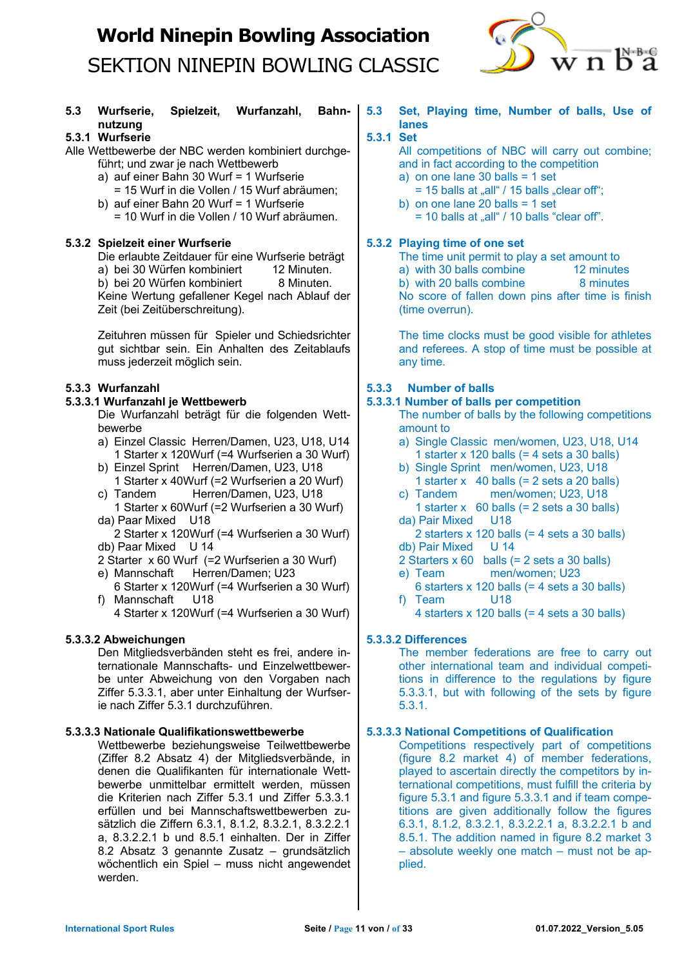

## **5.3 Wurfserie, Spielzeit, Wurfanzahl, Bahnnutzung**

## **5.3.1 Wurfserie**

Alle Wettbewerbe der NBC werden kombiniert durchgeführt; und zwar je nach Wettbewerb

a) auf einer Bahn 30 Wurf = 1 Wurfserie

- = 15 Wurf in die Vollen / 15 Wurf abräumen;
- b) auf einer Bahn 20 Wurf = 1 Wurfserie = 10 Wurf in die Vollen / 10 Wurf abräumen.

## **5.3.2 Spielzeit einer Wurfserie**

Die erlaubte Zeitdauer für eine Wurfserie beträgt a) bei 30 Würfen kombiniert 12 Minuten. b) bei 20 Würfen kombiniert 8 Minuten. Keine Wertung gefallener Kegel nach Ablauf der Zeit (bei Zeitüberschreitung).

Zeituhren müssen für Spieler und Schiedsrichter gut sichtbar sein. Ein Anhalten des Zeitablaufs muss jederzeit möglich sein.

## **5.3.3 Wurfanzahl**

## **5.3.3.1 Wurfanzahl je Wettbewerb**

Die Wurfanzahl beträgt für die folgenden Wettbewerbe

- a) Einzel Classic Herren/Damen, U23, U18, U14 1 Starter x 120Wurf (=4 Wurfserien a 30 Wurf)
- b) Einzel Sprint Herren/Damen, U23, U18 1 Starter x 40Wurf (=2 Wurfserien a 20 Wurf)
- c) Tandem Herren/Damen, U23, U18
- 1 Starter x 60Wurf (=2 Wurfserien a 30 Wurf) da) Paar Mixed U18

2 Starter x 120Wurf (=4 Wurfserien a 30 Wurf) db) Paar Mixed U 14

- 2 Starter x 60 Wurf (=2 Wurfserien a 30 Wurf)
- e) Mannschaft Herren/Damen; U23
- 6 Starter x 120Wurf (=4 Wurfserien a 30 Wurf) f) Mannschaft U18

4 Starter x 120Wurf (=4 Wurfserien a 30 Wurf)

## **5.3.3.2 Abweichungen**

Den Mitgliedsverbänden steht es frei, andere internationale Mannschafts- und Einzelwettbewerbe unter Abweichung von den Vorgaben nach Ziffer 5.3.3.1, aber unter Einhaltung der Wurfserie nach Ziffer 5.3.1 durchzuführen.

## **5.3.3.3 Nationale Qualifikationswettbewerbe**

Wettbewerbe beziehungsweise Teilwettbewerbe (Ziffer 8.2 Absatz 4) der Mitgliedsverbände, in denen die Qualifikanten für internationale Wettbewerbe unmittelbar ermittelt werden, müssen die Kriterien nach Ziffer 5.3.1 und Ziffer 5.3.3.1 erfüllen und bei Mannschaftswettbewerben zusätzlich die Ziffern 6.3.1, 8.1.2, 8.3.2.1, 8.3.2.2.1 a, 8.3.2.2.1 b und 8.5.1 einhalten. Der in Ziffer 8.2 Absatz 3 genannte Zusatz – grundsätzlich wöchentlich ein Spiel – muss nicht angewendet werden.

**5.3 Set, Playing time, Number of balls, Use of lanes**

## **5.3.1 Set**

All competitions of NBC will carry out combine; and in fact according to the competition

a) on one lane 30 balls = 1 set

- $= 15$  balls at  $\alpha$ -all  $\beta$  / 15 balls  $\alpha$  clear of  $\beta$ .
- b) on one lane 20 balls = 1 set  $= 10$  balls at  $\alpha$ -all  $\beta$  / 10 balls "clear off".

## **5.3.2 Playing time of one set**

The time unit permit to play a set amount to a) with 30 balls combine 12 minutes  $\mathbf b$ ) with 20 balls combine  $\mathbf 8$  minutes No score of fallen down pins after time is finish (time overrun).

The time clocks must be good visible for athletes and referees. A stop of time must be possible at any time.

## **5.3.3 Number of balls**

## **5.3.3.1 Number of balls per competition**

The number of balls by the following competitions amount to

- a) Single Classic men/women, U23, U18, U14 1 starter x 120 balls  $(= 4 \text{ sets a } 30 \text{ balls})$
- b) Single Sprint men/women, U23, U18 1 starter x  $40$  balls (= 2 sets a 20 balls)
- c) Tandem men/women; U23, U18
- 1 starter  $x \neq 60$  balls (= 2 sets a 30 balls) da) Pair Mixed U18
- 2 starters x 120 balls (= 4 sets a 30 balls) db) Pair Mixed U 14
- 2 Starters x 60 balls (= 2 sets a 30 balls)
- e) Team men/women; U23
- 6 starters x 120 balls (= 4 sets a 30 balls) f) Team U18
	- 4 starters x 120 balls (= 4 sets a 30 balls)

## **5.3.3.2 Differences**

The member federations are free to carry out other international team and individual competitions in difference to the regulations by figure 5.3.3.1, but with following of the sets by figure 5.3.1.

## **5.3.3.3 National Competitions of Qualification**

Competitions respectively part of competitions (figure 8.2 market 4) of member federations, played to ascertain directly the competitors by international competitions, must fulfill the criteria by figure 5.3.1 and figure 5.3.3.1 and if team competitions are given additionally follow the figures 6.3.1, 8.1.2, 8.3.2.1, 8.3.2.2.1 a, 8.3.2.2.1 b and 8.5.1. The addition named in figure 8.2 market 3 – absolute weekly one match – must not be applied.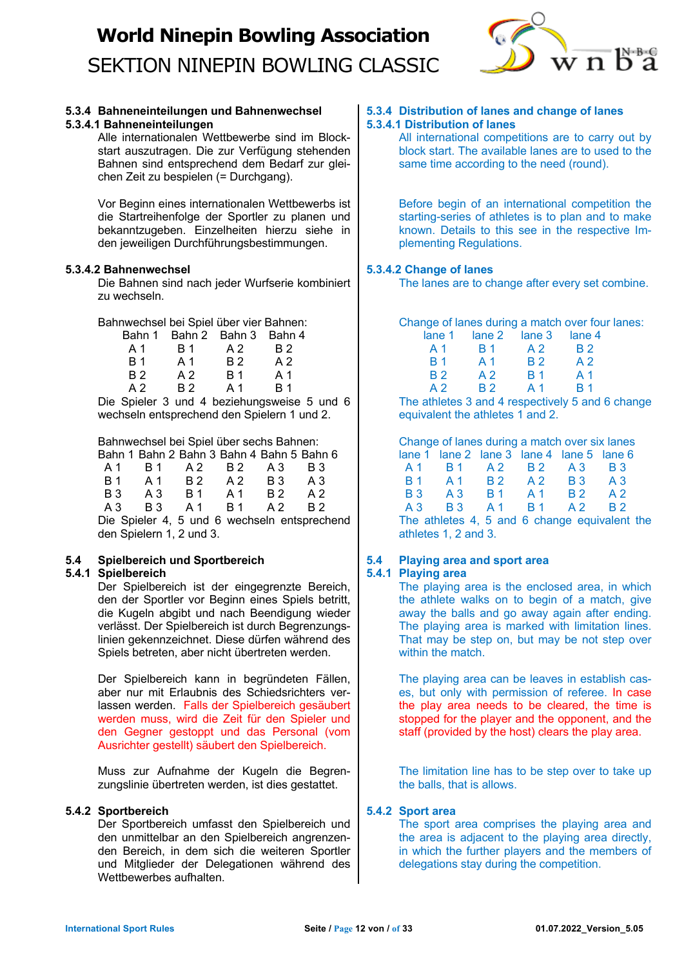

### **5.3.4 Bahneneinteilungen und Bahnenwechsel 5.3.4.1 Bahneneinteilungen**

Alle internationalen Wettbewerbe sind im Blockstart auszutragen. Die zur Verfügung stehenden Bahnen sind entsprechend dem Bedarf zur gleichen Zeit zu bespielen (= Durchgang).

Vor Beginn eines internationalen Wettbewerbs ist die Startreihenfolge der Sportler zu planen und bekanntzugeben. Einzelheiten hierzu siehe in den jeweiligen Durchführungsbestimmungen.

## **5.3.4.2 Bahnenwechsel**

Die Bahnen sind nach jeder Wurfserie kombiniert zu wechseln.

Bahnwechsel bei Spiel über vier Bahnen:

| Bahn 1         |                | Bahn 2 Bahn 3 Bahn 4 |                |  |
|----------------|----------------|----------------------|----------------|--|
| A 1            | <b>B</b> 1     | A 2                  | B 2            |  |
| <b>B</b> 1     | A 1            | <b>B2</b>            | A <sub>2</sub> |  |
| <b>B</b> 2     | A <sub>2</sub> | <b>B</b> 1           | A 1            |  |
| A <sub>2</sub> | B 2            | A 1                  | <b>R</b> 1     |  |
|                |                |                      |                |  |

Die Spieler 3 und 4 beziehungsweise 5 und 6 wechseln entsprechend den Spielern 1 und 2.

## Bahnwechsel bei Spiel über sechs Bahnen:

|                          | Bahn 1 Bahn 2 Bahn 3 Bahn 4 Bahn 5 Bahn 6 |            |         |     |                                              |  |
|--------------------------|-------------------------------------------|------------|---------|-----|----------------------------------------------|--|
| A 1                      | B 1                                       | A 2        | B 2     | A 3 | B 3                                          |  |
| <b>B</b> 1               | A 1 B 2                                   |            | A 2 B 3 |     | A 3                                          |  |
| B 3                      | A 3                                       | <b>B</b> 1 | A 1 B 2 |     | A 2                                          |  |
| A 3                      | <b>B</b> 3                                | A 1 B 1    |         | A 2 | <b>B2</b>                                    |  |
|                          |                                           |            |         |     | Die Spieler 4, 5 und 6 wechseln entsprechend |  |
| den Spielern 1, 2 und 3. |                                           |            |         |     |                                              |  |

## **5.4 Spielbereich und Sportbereich**

## **5.4.1 Spielbereich**

Der Spielbereich ist der eingegrenzte Bereich, den der Sportler vor Beginn eines Spiels betritt, die Kugeln abgibt und nach Beendigung wieder verlässt. Der Spielbereich ist durch Begrenzungslinien gekennzeichnet. Diese dürfen während des Spiels betreten, aber nicht übertreten werden.

Der Spielbereich kann in begründeten Fällen, aber nur mit Erlaubnis des Schiedsrichters verlassen werden. Falls der Spielbereich gesäubert werden muss, wird die Zeit für den Spieler und den Gegner gestoppt und das Personal (vom Ausrichter gestellt) säubert den Spielbereich.

Muss zur Aufnahme der Kugeln die Begrenzungslinie übertreten werden, ist dies gestattet.

## **5.4.2 Sportbereich**

Der Sportbereich umfasst den Spielbereich und den unmittelbar an den Spielbereich angrenzenden Bereich, in dem sich die weiteren Sportler und Mitglieder der Delegationen während des Wettbewerbes aufhalten.

## **5.3.4 Distribution of lanes and change of lanes 5.3.4.1 Distribution of lanes**

All international competitions are to carry out by block start. The available lanes are to used to the same time according to the need (round).

Before begin of an international competition the starting-series of athletes is to plan and to make known. Details to this see in the respective Implementing Regulations.

## **5.3.4.2 Change of lanes**

The lanes are to change after every set combine.

Change of lanes during a match over four lanes:

| lane 1                | lane 2                | lane 3                | lane 4                |
|-----------------------|-----------------------|-----------------------|-----------------------|
| A 1                   | <b>B</b> 1            | A <sub>2</sub>        | <b>B</b> <sub>2</sub> |
| <b>B</b> 1            | A 1                   | <b>B</b> <sub>2</sub> | A <sub>2</sub>        |
| <b>B</b> <sub>2</sub> | A 2                   | <b>B</b> 1            | A 1                   |
| A 2                   | <b>B</b> <sub>2</sub> | Δ1                    | <b>R</b> 1            |

The athletes 3 and 4 respectively 5 and 6 change equivalent the athletes 1 and 2.

| Change of lanes during a match over six lanes |            |                                           |                |                |                |
|-----------------------------------------------|------------|-------------------------------------------|----------------|----------------|----------------|
|                                               |            | lane 1 lane 2 lane 3 lane 4 lane 5 lane 6 |                |                |                |
| A 1                                           | <b>B</b> 1 | A <sub>2</sub>                            | <b>B2</b>      | A3             | <b>B</b> 3     |
| <b>B</b> 1                                    | A1         | <b>B</b> 2                                | A2             | <b>B</b> 3     | $A_3$          |
| <b>B</b> 3                                    | $A_3$      | B 1                                       | A <sub>1</sub> | <b>B</b> 2     | A <sub>2</sub> |
| $A_3$                                         | <b>B</b> 3 | A 1                                       | <b>B</b> 1     | A <sub>2</sub> | R <sub>2</sub> |

The athletes 4, 5 and 6 change equivalent the athletes 1, 2 and 3.

## **5.4 Playing area and sport area**

## **5.4.1 Playing area**

The playing area is the enclosed area, in which the athlete walks on to begin of a match, give away the balls and go away again after ending. The playing area is marked with limitation lines. That may be step on, but may be not step over within the match.

The playing area can be leaves in establish cases, but only with permission of referee. In case the play area needs to be cleared, the time is stopped for the player and the opponent, and the staff (provided by the host) clears the play area.

The limitation line has to be step over to take up the balls, that is allows.

## **5.4.2 Sport area**

The sport area comprises the playing area and the area is adjacent to the playing area directly, in which the further players and the members of delegations stay during the competition.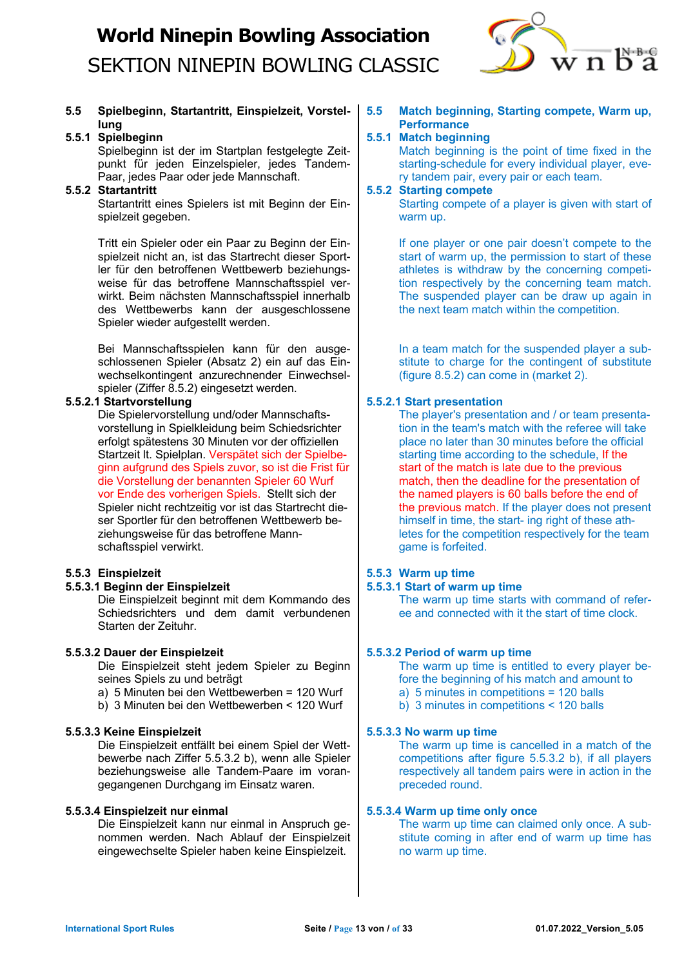

## **5.5 Spielbeginn, Startantritt, Einspielzeit, Vorstellung**

### **5.5.1 Spielbeginn**

Spielbeginn ist der im Startplan festgelegte Zeitpunkt für jeden Einzelspieler, jedes Tandem-Paar, jedes Paar oder jede Mannschaft.

### **5.5.2 Startantritt**

Startantritt eines Spielers ist mit Beginn der Einspielzeit gegeben.

Tritt ein Spieler oder ein Paar zu Beginn der Einspielzeit nicht an, ist das Startrecht dieser Sportler für den betroffenen Wettbewerb beziehungsweise für das betroffene Mannschaftsspiel verwirkt. Beim nächsten Mannschaftsspiel innerhalb des Wettbewerbs kann der ausgeschlossene Spieler wieder aufgestellt werden.

Bei Mannschaftsspielen kann für den ausgeschlossenen Spieler (Absatz 2) ein auf das Einwechselkontingent anzurechnender Einwechselspieler (Ziffer 8.5.2) eingesetzt werden.

## **5.5.2.1 Startvorstellung**

Die Spielervorstellung und/oder Mannschaftsvorstellung in Spielkleidung beim Schiedsrichter erfolgt spätestens 30 Minuten vor der offiziellen Startzeit lt. Spielplan. Verspätet sich der Spielbeginn aufgrund des Spiels zuvor, so ist die Frist für die Vorstellung der benannten Spieler 60 Wurf vor Ende des vorherigen Spiels. Stellt sich der Spieler nicht rechtzeitig vor ist das Startrecht dieser Sportler für den betroffenen Wettbewerb beziehungsweise für das betroffene Mannschaftsspiel verwirkt.

## **5.5.3 Einspielzeit**

## **5.5.3.1 Beginn der Einspielzeit**

Die Einspielzeit beginnt mit dem Kommando des Schiedsrichters und dem damit verbundenen Starten der Zeituhr.

#### **5.5.3.2 Dauer der Einspielzeit**

Die Einspielzeit steht jedem Spieler zu Beginn seines Spiels zu und beträgt

- a) 5 Minuten bei den Wettbewerben = 120 Wurf
- b) 3 Minuten bei den Wettbewerben < 120 Wurf

#### **5.5.3.3 Keine Einspielzeit**

Die Einspielzeit entfällt bei einem Spiel der Wettbewerbe nach Ziffer 5.5.3.2 b), wenn alle Spieler beziehungsweise alle Tandem-Paare im vorangegangenen Durchgang im Einsatz waren.

#### **5.5.3.4 Einspielzeit nur einmal**

Die Einspielzeit kann nur einmal in Anspruch genommen werden. Nach Ablauf der Einspielzeit eingewechselte Spieler haben keine Einspielzeit.

**5.5 Match beginning, Starting compete, Warm up, Performance**

## **5.5.1 Match beginning**

Match beginning is the point of time fixed in the starting-schedule for every individual player, every tandem pair, every pair or each team.

#### **5.5.2 Starting compete**

Starting compete of a player is given with start of warm up.

If one player or one pair doesn't compete to the start of warm up, the permission to start of these athletes is withdraw by the concerning competition respectively by the concerning team match. The suspended player can be draw up again in the next team match within the competition.

In a team match for the suspended player a substitute to charge for the contingent of substitute (figure 8.5.2) can come in (market 2).

### **5.5.2.1 Start presentation**

The player's presentation and / or team presentation in the team's match with the referee will take place no later than 30 minutes before the official starting time according to the schedule. If the start of the match is late due to the previous match, then the deadline for the presentation of the named players is 60 balls before the end of the previous match. If the player does not present himself in time, the start- ing right of these athletes for the competition respectively for the team game is forfeited.

## **5.5.3 Warm up time**

#### **5.5.3.1 Start of warm up time**

The warm up time starts with command of referee and connected with it the start of time clock.

#### **5.5.3.2 Period of warm up time**

The warm up time is entitled to every player before the beginning of his match and amount to

- a) 5 minutes in competitions = 120 balls
- b) 3 minutes in competitions < 120 balls

#### **5.5.3.3 No warm up time**

The warm up time is cancelled in a match of the competitions after figure 5.5.3.2 b), if all players respectively all tandem pairs were in action in the preceded round.

#### **5.5.3.4 Warm up time only once**

The warm up time can claimed only once. A substitute coming in after end of warm up time has no warm up time.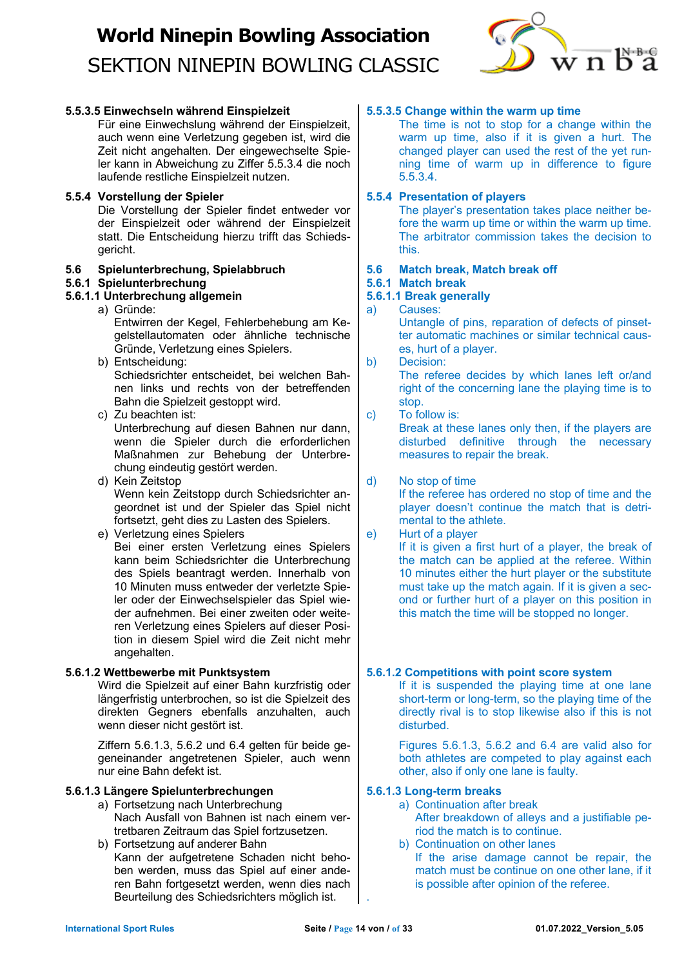

## **5.5.3.5 Einwechseln während Einspielzeit**

Für eine Einwechslung während der Einspielzeit, auch wenn eine Verletzung gegeben ist, wird die Zeit nicht angehalten. Der eingewechselte Spieler kann in Abweichung zu Ziffer 5.5.3.4 die noch laufende restliche Einspielzeit nutzen.

### **5.5.4 Vorstellung der Spieler**

Die Vorstellung der Spieler findet entweder vor der Einspielzeit oder während der Einspielzeit statt. Die Entscheidung hierzu trifft das Schiedsgericht.

### **5.6 Spielunterbrechung, Spielabbruch**

## **5.6.1 Spielunterbrechung**

## **5.6.1.1 Unterbrechung allgemein**

- a) Gründe: Entwirren der Kegel, Fehlerbehebung am Kegelstellautomaten oder ähnliche technische Gründe, Verletzung eines Spielers.
- b) Entscheidung: Schiedsrichter entscheidet, bei welchen Bahnen links und rechts von der betreffenden Bahn die Spielzeit gestoppt wird.
- c) Zu beachten ist: Unterbrechung auf diesen Bahnen nur dann, wenn die Spieler durch die erforderlichen Maßnahmen zur Behebung der Unterbrechung eindeutig gestört werden.
- d) Kein Zeitstop Wenn kein Zeitstopp durch Schiedsrichter angeordnet ist und der Spieler das Spiel nicht fortsetzt, geht dies zu Lasten des Spielers.

#### e) Verletzung eines Spielers Bei einer ersten Verletzung eines Spielers kann beim Schiedsrichter die Unterbrechung des Spiels beantragt werden. Innerhalb von 10 Minuten muss entweder der verletzte Spieler oder der Einwechselspieler das Spiel wieder aufnehmen. Bei einer zweiten oder weiteren Verletzung eines Spielers auf dieser Position in diesem Spiel wird die Zeit nicht mehr angehalten.

## **5.6.1.2 Wettbewerbe mit Punktsystem**

Wird die Spielzeit auf einer Bahn kurzfristig oder längerfristig unterbrochen, so ist die Spielzeit des direkten Gegners ebenfalls anzuhalten, auch wenn dieser nicht gestört ist.

Ziffern 5.6.1.3, 5.6.2 und 6.4 gelten für beide gegeneinander angetretenen Spieler, auch wenn nur eine Bahn defekt ist.

## **5.6.1.3 Längere Spielunterbrechungen**

- a) Fortsetzung nach Unterbrechung Nach Ausfall von Bahnen ist nach einem vertretbaren Zeitraum das Spiel fortzusetzen.
- b) Fortsetzung auf anderer Bahn Kann der aufgetretene Schaden nicht behoben werden, muss das Spiel auf einer anderen Bahn fortgesetzt werden, wenn dies nach Beurteilung des Schiedsrichters möglich ist.

### **5.5.3.5 Change within the warm up time**

The time is not to stop for a change within the warm up time, also if it is given a hurt. The changed player can used the rest of the yet running time of warm up in difference to figure 5.5.3.4.

#### **5.5.4 Presentation of players**

The player's presentation takes place neither before the warm up time or within the warm up time. The arbitrator commission takes the decision to this.

## **5.6 Match break, Match break off**

## **5.6.1 Match break**

## **5.6.1.1 Break generally**

a) Causes:

Untangle of pins, reparation of defects of pinsetter automatic machines or similar technical causes, hurt of a player.

b) Decision:

The referee decides by which lanes left or/and right of the concerning lane the playing time is to stop.

### c) To follow is:

Break at these lanes only then, if the players are disturbed definitive through the necessary measures to repair the break.

#### d) No stop of time

If the referee has ordered no stop of time and the player doesn't continue the match that is detrimental to the athlete.

## e) Hurt of a player

If it is given a first hurt of a player, the break of the match can be applied at the referee. Within 10 minutes either the hurt player or the substitute must take up the match again. If it is given a second or further hurt of a player on this position in this match the time will be stopped no longer.

#### **5.6.1.2 Competitions with point score system**

If it is suspended the playing time at one lane short-term or long-term, so the playing time of the directly rival is to stop likewise also if this is not disturbed.

Figures 5.6.1.3, 5.6.2 and 6.4 are valid also for both athletes are competed to play against each other, also if only one lane is faulty.

## **5.6.1.3 Long-term breaks**

- a) Continuation after break
- After breakdown of alleys and a justifiable period the match is to continue.
- b) Continuation on other lanes
	- If the arise damage cannot be repair, the match must be continue on one other lane, if it is possible after opinion of the referee.

.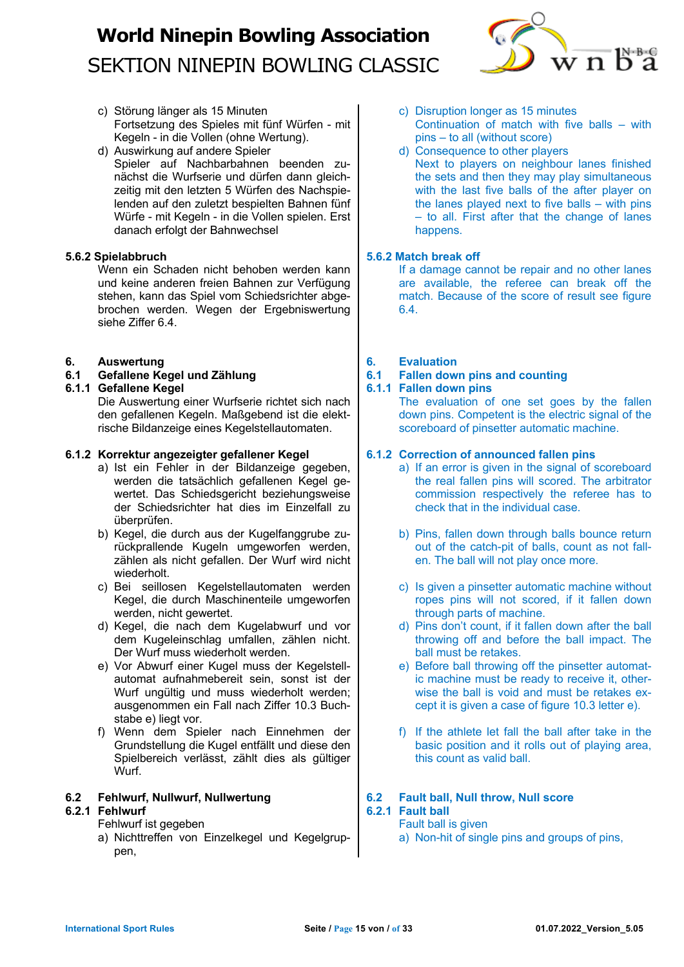

- c) Störung länger als 15 Minuten Fortsetzung des Spieles mit fünf Würfen - mit Kegeln - in die Vollen (ohne Wertung).
- d) Auswirkung auf andere Spieler Spieler auf Nachbarbahnen beenden zunächst die Wurfserie und dürfen dann gleichzeitig mit den letzten 5 Würfen des Nachspielenden auf den zuletzt bespielten Bahnen fünf Würfe - mit Kegeln - in die Vollen spielen. Erst danach erfolgt der Bahnwechsel

## **5.6.2 Spielabbruch**

Wenn ein Schaden nicht behoben werden kann und keine anderen freien Bahnen zur Verfügung stehen, kann das Spiel vom Schiedsrichter abgebrochen werden. Wegen der Ergebniswertung siehe Ziffer 6.4.

### **6. Auswertung**

## **6.1 Gefallene Kegel und Zählung**

### **6.1.1 Gefallene Kegel**

Die Auswertung einer Wurfserie richtet sich nach den gefallenen Kegeln. Maßgebend ist die elektrische Bildanzeige eines Kegelstellautomaten.

### **6.1.2 Korrektur angezeigter gefallener Kegel**

- a) Ist ein Fehler in der Bildanzeige gegeben, werden die tatsächlich gefallenen Kegel gewertet. Das Schiedsgericht beziehungsweise der Schiedsrichter hat dies im Einzelfall zu überprüfen.
- b) Kegel, die durch aus der Kugelfanggrube zurückprallende Kugeln umgeworfen werden, zählen als nicht gefallen. Der Wurf wird nicht wiederholt.
- c) Bei seillosen Kegelstellautomaten werden Kegel, die durch Maschinenteile umgeworfen werden, nicht gewertet.
- d) Kegel, die nach dem Kugelabwurf und vor dem Kugeleinschlag umfallen, zählen nicht. Der Wurf muss wiederholt werden.
- e) Vor Abwurf einer Kugel muss der Kegelstellautomat aufnahmebereit sein, sonst ist der Wurf ungültig und muss wiederholt werden; ausgenommen ein Fall nach Ziffer 10.3 Buchstabe e) liegt vor.
- f) Wenn dem Spieler nach Einnehmen der Grundstellung die Kugel entfällt und diese den Spielbereich verlässt, zählt dies als gültiger Wurf.

## **6.2 Fehlwurf, Nullwurf, Nullwertung**

## **6.2.1 Fehlwurf**

- Fehlwurf ist gegeben
- a) Nichttreffen von Einzelkegel und Kegelgruppen,
- c) Disruption longer as 15 minutes Continuation of match with five balls – with pins – to all (without score)
- d) Consequence to other players Next to players on neighbour lanes finished the sets and then they may play simultaneous with the last five balls of the after player on the lanes played next to five balls – with pins – to all. First after that the change of lanes happens.

### **5.6.2 Match break off**

If a damage cannot be repair and no other lanes are available, the referee can break off the match. Because of the score of result see figure 6.4.

**6. Evaluation**

## **6.1 Fallen down pins and counting**

### **6.1.1 Fallen down pins**

The evaluation of one set goes by the fallen down pins. Competent is the electric signal of the scoreboard of pinsetter automatic machine.

## **6.1.2 Correction of announced fallen pins**

- a) If an error is given in the signal of scoreboard the real fallen pins will scored. The arbitrator commission respectively the referee has to check that in the individual case.
- b) Pins, fallen down through balls bounce return out of the catch-pit of balls, count as not fallen. The ball will not play once more.
- c) Is given a pinsetter automatic machine without ropes pins will not scored, if it fallen down through parts of machine.
- d) Pins don't count, if it fallen down after the ball throwing off and before the ball impact. The ball must be retakes.
- e) Before ball throwing off the pinsetter automatic machine must be ready to receive it, otherwise the ball is void and must be retakes except it is given a case of figure 10.3 letter e).
- f) If the athlete let fall the ball after take in the basic position and it rolls out of playing area, this count as valid ball.

#### **6.2 Fault ball, Null throw, Null score 6.2.1 Fault ball**

## Fault ball is given

a) Non-hit of single pins and groups of pins,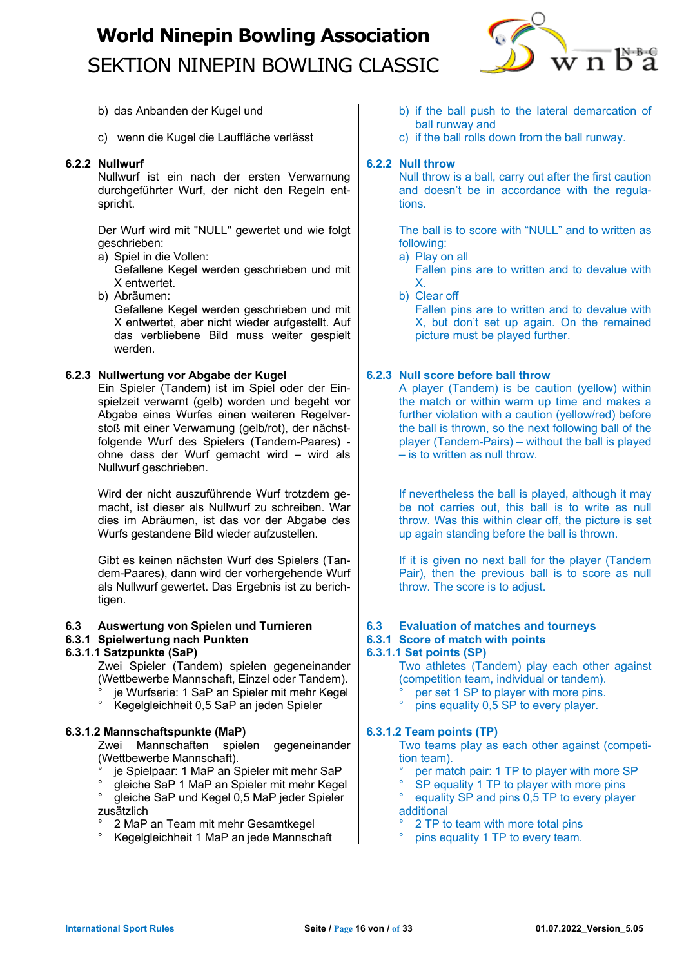

- b) das Anbanden der Kugel und
- c) wenn die Kugel die Lauffläche verlässt

## **6.2.2 Nullwurf**

Nullwurf ist ein nach der ersten Verwarnung durchgeführter Wurf, der nicht den Regeln entspricht.

Der Wurf wird mit "NULL" gewertet und wie folgt geschrieben:

- a) Spiel in die Vollen:
- Gefallene Kegel werden geschrieben und mit X entwertet.
- b) Abräumen:

Gefallene Kegel werden geschrieben und mit X entwertet, aber nicht wieder aufgestellt. Auf das verbliebene Bild muss weiter gespielt werden.

## **6.2.3 Nullwertung vor Abgabe der Kugel**

Ein Spieler (Tandem) ist im Spiel oder der Einspielzeit verwarnt (gelb) worden und begeht vor Abgabe eines Wurfes einen weiteren Regelverstoß mit einer Verwarnung (gelb/rot), der nächstfolgende Wurf des Spielers (Tandem-Paares) ohne dass der Wurf gemacht wird – wird als Nullwurf geschrieben.

Wird der nicht auszuführende Wurf trotzdem gemacht, ist dieser als Nullwurf zu schreiben. War dies im Abräumen, ist das vor der Abgabe des Wurfs gestandene Bild wieder aufzustellen.

Gibt es keinen nächsten Wurf des Spielers (Tandem-Paares), dann wird der vorhergehende Wurf als Nullwurf gewertet. Das Ergebnis ist zu berichtigen.

## **6.3 Auswertung von Spielen und Turnieren**

## **6.3.1 Spielwertung nach Punkten**

## **6.3.1.1 Satzpunkte (SaP)**

Zwei Spieler (Tandem) spielen gegeneinander (Wettbewerbe Mannschaft, Einzel oder Tandem).

- ° je Wurfserie: 1 SaP an Spieler mit mehr Kegel<br>° Kegelskiebbeit 0 5 SaP an joden Spieler
- ° Kegelgleichheit 0,5 SaP an jeden Spieler

## **6.3.1.2 Mannschaftspunkte (MaP)**

Zwei Mannschaften spielen gegeneinander (Wettbewerbe Mannschaft).

- je Spielpaar: 1 MaP an Spieler mit mehr SaP
- ° gleiche SaP 1 MaP an Spieler mit mehr Kegel ° gleiche SaP und Kegel 0,5 MaP jeder Spieler
- zusätzlich
- ° 2 MaP an Team mit mehr Gesamtkegel
- ° Kegelgleichheit 1 MaP an jede Mannschaft
- b) if the ball push to the lateral demarcation of ball runway and
- c) if the ball rolls down from the ball runway.

## **6.2.2 Null throw**

Null throw is a ball, carry out after the first caution and doesn't be in accordance with the regulations.

The ball is to score with "NULL" and to written as following:

- a) Play on all
	- Fallen pins are to written and to devalue with X.
- b) Clear off Fallen pins are to written and to devalue with X, but don't set up again. On the remained picture must be played further.

## **6.2.3 Null score before ball throw**

A player (Tandem) is be caution (yellow) within the match or within warm up time and makes a further violation with a caution (yellow/red) before the ball is thrown, so the next following ball of the player (Tandem-Pairs) – without the ball is played – is to written as null throw.

If nevertheless the ball is played, although it may be not carries out, this ball is to write as null throw. Was this within clear off, the picture is set up again standing before the ball is thrown.

If it is given no next ball for the player (Tandem Pair), then the previous ball is to score as null throw. The score is to adjust.

## **6.3 Evaluation of matches and tourneys**

**6.3.1 Score of match with points**

### **6.3.1.1 Set points (SP)**

Two athletes (Tandem) play each other against (competition team, individual or tandem).

- <sup>°</sup> per set 1 SP to player with more pins.
- pins equality 0,5 SP to every player.

## **6.3.1.2 Team points (TP)**

Two teams play as each other against (competition team).

- per match pair: 1 TP to player with more SP
- SP equality 1 TP to player with more pins
- equality SP and pins 0,5 TP to every player additional
- 2 TP to team with more total pins
- pins equality 1 TP to every team.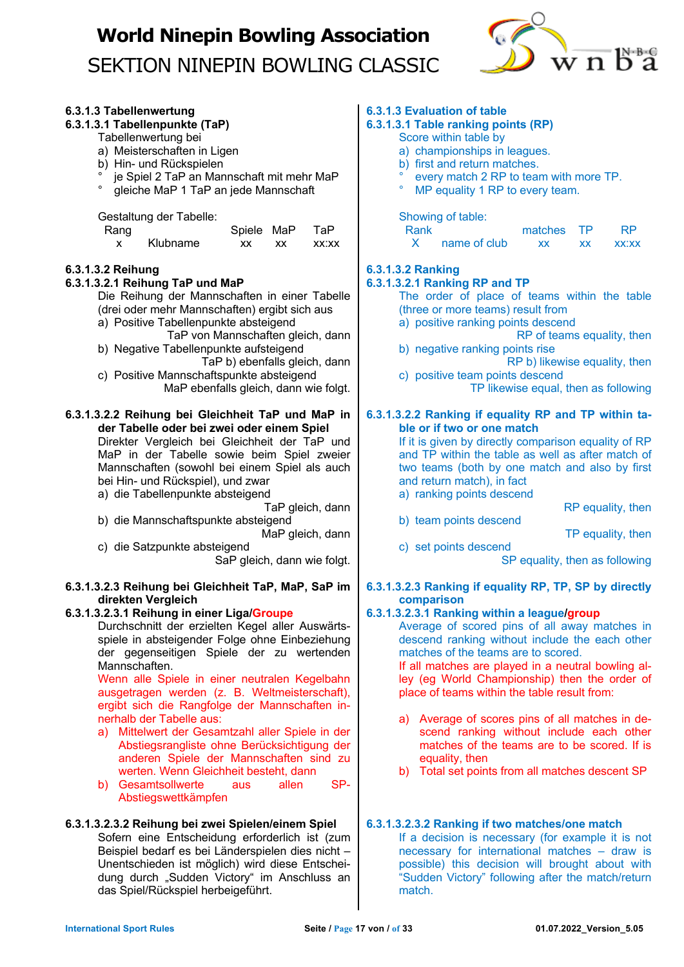

## **6.3.1.3 Tabellenwertung 6.3.1.3.1 Tabellenpunkte (TaP)** Tabellenwertung bei

- a) Meisterschaften in Ligen
- b) Hin- und Rückspielen
- ° je Spiel 2 TaP an Mannschaft mit mehr MaP
- ° gleiche MaP 1 TaP an jede Mannschaft

Gestaltung der Tabelle:

| Rang |          | Spiele MaP |    | TaP.  |
|------|----------|------------|----|-------|
|      | Klubname | xх         | xх | XX:XX |

## **6.3.1.3.2 Reihung**

### **6.3.1.3.2.1 Reihung TaP und MaP**

Die Reihung der Mannschaften in einer Tabelle (drei oder mehr Mannschaften) ergibt sich aus a) Positive Tabellenpunkte absteigend

- TaP von Mannschaften gleich, dann
- b) Negative Tabellenpunkte aufsteigend TaP b) ebenfalls gleich, dann
- c) Positive Mannschaftspunkte absteigend MaP ebenfalls gleich, dann wie folgt.

#### **6.3.1.3.2.2 Reihung bei Gleichheit TaP und MaP in der Tabelle oder bei zwei oder einem Spiel**

Direkter Vergleich bei Gleichheit der TaP und MaP in der Tabelle sowie beim Spiel zweier Mannschaften (sowohl bei einem Spiel als auch bei Hin- und Rückspiel), und zwar

a) die Tabellenpunkte absteigend

TaP gleich, dann

b) die Mannschaftspunkte absteigend

MaP gleich, dann

c) die Satzpunkte absteigend SaP gleich, dann wie folgt.

#### **6.3.1.3.2.3 Reihung bei Gleichheit TaP, MaP, SaP im direkten Vergleich**

#### **6.3.1.3.2.3.1 Reihung in einer Liga/Groupe**

Durchschnitt der erzielten Kegel aller Auswärtsspiele in absteigender Folge ohne Einbeziehung der gegenseitigen Spiele der zu wertenden Mannschaften.

Wenn alle Spiele in einer neutralen Kegelbahn ausgetragen werden (z. B. Weltmeisterschaft), ergibt sich die Rangfolge der Mannschaften innerhalb der Tabelle aus:

- a) Mittelwert der Gesamtzahl aller Spiele in der Abstiegsrangliste ohne Berücksichtigung der anderen Spiele der Mannschaften sind zu werten. Wenn Gleichheit besteht, dann
- b) Gesamtsollwerte aus allen SP-Abstiegswettkämpfen

## **6.3.1.3.2.3.2 Reihung bei zwei Spielen/einem Spiel**

Sofern eine Entscheidung erforderlich ist (zum Beispiel bedarf es bei Länderspielen dies nicht – Unentschieden ist möglich) wird diese Entscheidung durch "Sudden Victory" im Anschluss an das Spiel/Rückspiel herbeigeführt.

## **6.3.1.3 Evaluation of table**

## **6.3.1.3.1 Table ranking points (RP)**

- Score within table by
- a) championships in leagues.
- b) first and return matches.
- every match 2 RP to team with more TP.
- MP equality 1 RP to every team.

Showing of table:

| Rank |              | matches TP |    | RP    |
|------|--------------|------------|----|-------|
|      | name of club | XX         | XX | XX:XX |

## **6.3.1.3.2 Ranking**

## **6.3.1.3.2.1 Ranking RP and TP**

- The order of place of teams within the table (three or more teams) result from
- a) positive ranking points descend
- RP of teams equality, then b) negative ranking points rise
- RP b) likewise equality, then
- c) positive team points descend TP likewise equal, then as following

#### **6.3.1.3.2.2 Ranking if equality RP and TP within table or if two or one match**

If it is given by directly comparison equality of RP and TP within the table as well as after match of two teams (both by one match and also by first and return match), in fact

a) ranking points descend

RP equality, then

b) team points descend

TP equality, then

c) set points descend SP equality, then as following

### **6.3.1.3.2.3 Ranking if equality RP, TP, SP by directly comparison**

## **6.3.1.3.2.3.1 Ranking within a league/group**

Average of scored pins of all away matches in descend ranking without include the each other matches of the teams are to scored.

If all matches are played in a neutral bowling alley (eg World Championship) then the order of place of teams within the table result from:

- a) Average of scores pins of all matches in descend ranking without include each other matches of the teams are to be scored. If is equality, then
- b) Total set points from all matches descent SP

#### **6.3.1.3.2.3.2 Ranking if two matches/one match**

If a decision is necessary (for example it is not necessary for international matches – draw is possible) this decision will brought about with "Sudden Victory" following after the match/return match.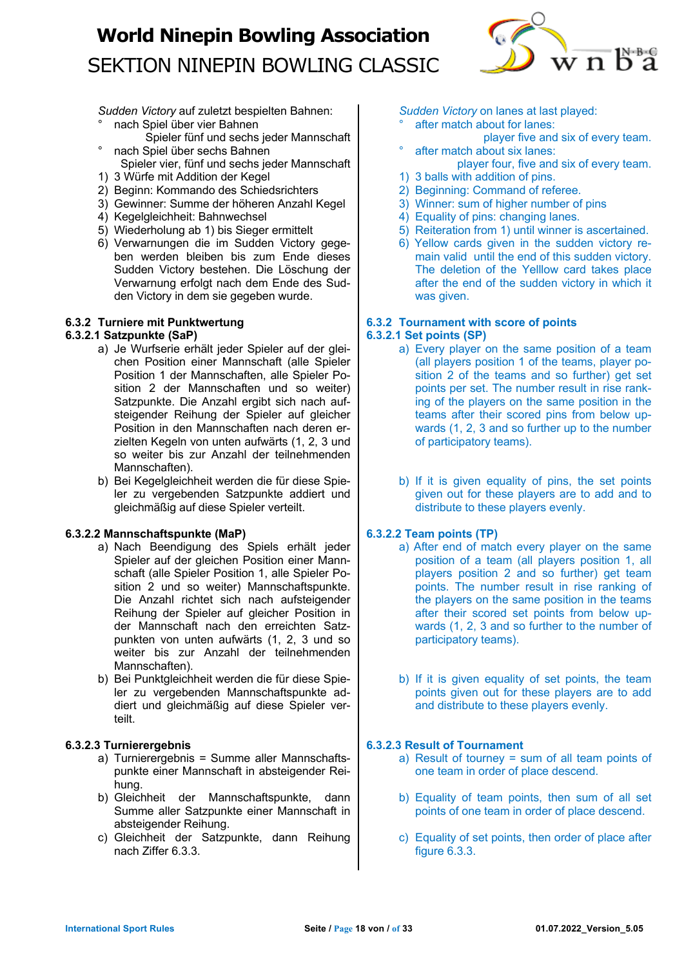

*Sudden Victory* auf zuletzt bespielten Bahnen:

- ° nach Spiel über vier Bahnen
- Spieler fünf und sechs jeder Mannschaft ° nach Spiel über sechs Bahnen
- Spieler vier, fünf und sechs jeder Mannschaft 1) 3 Würfe mit Addition der Kegel
- 2) Beginn: Kommando des Schiedsrichters
- 3) Gewinner: Summe der höheren Anzahl Kegel
- 4) Kegelgleichheit: Bahnwechsel
- 5) Wiederholung ab 1) bis Sieger ermittelt
- 6) Verwarnungen die im Sudden Victory gegeben werden bleiben bis zum Ende dieses Sudden Victory bestehen. Die Löschung der Verwarnung erfolgt nach dem Ende des Sudden Victory in dem sie gegeben wurde.

## **6.3.2 Turniere mit Punktwertung**

## **6.3.2.1 Satzpunkte (SaP)**

- a) Je Wurfserie erhält jeder Spieler auf der gleichen Position einer Mannschaft (alle Spieler Position 1 der Mannschaften, alle Spieler Position 2 der Mannschaften und so weiter) Satzpunkte. Die Anzahl ergibt sich nach aufsteigender Reihung der Spieler auf gleicher Position in den Mannschaften nach deren erzielten Kegeln von unten aufwärts (1, 2, 3 und so weiter bis zur Anzahl der teilnehmenden Mannschaften).
- b) Bei Kegelgleichheit werden die für diese Spieler zu vergebenden Satzpunkte addiert und gleichmäßig auf diese Spieler verteilt.

## **6.3.2.2 Mannschaftspunkte (MaP)**

- a) Nach Beendigung des Spiels erhält jeder Spieler auf der gleichen Position einer Mannschaft (alle Spieler Position 1, alle Spieler Position 2 und so weiter) Mannschaftspunkte. Die Anzahl richtet sich nach aufsteigender Reihung der Spieler auf gleicher Position in der Mannschaft nach den erreichten Satzpunkten von unten aufwärts (1, 2, 3 und so weiter bis zur Anzahl der teilnehmenden Mannschaften).
- b) Bei Punktgleichheit werden die für diese Spieler zu vergebenden Mannschaftspunkte addiert und gleichmäßig auf diese Spieler verteilt.

## **6.3.2.3 Turnierergebnis**

- a) Turnierergebnis = Summe aller Mannschaftspunkte einer Mannschaft in absteigender Reihung.
- b) Gleichheit der Mannschaftspunkte, dann Summe aller Satzpunkte einer Mannschaft in absteigender Reihung.
- c) Gleichheit der Satzpunkte, dann Reihung nach Ziffer 6.3.3.

*Sudden Victory* on lanes at last played:

- after match about for lanes:
- player five and six of every team. after match about six lanes:
- player four, five and six of every team. 1) 3 balls with addition of pins.
- 2) Beginning: Command of referee.
- 3) Winner: sum of higher number of pins
- 4) Equality of pins: changing lanes.
- 5) Reiteration from 1) until winner is ascertained.
- 6) Yellow cards given in the sudden victory remain valid until the end of this sudden victory. The deletion of the Yelllow card takes place after the end of the sudden victory in which it was given.

#### **6.3.2 Tournament with score of points 6.3.2.1 Set points (SP)**

- a) Every player on the same position of a team (all players position 1 of the teams, player position 2 of the teams and so further) get set points per set. The number result in rise ranking of the players on the same position in the teams after their scored pins from below upwards (1, 2, 3 and so further up to the number of participatory teams).
- b) If it is given equality of pins, the set points given out for these players are to add and to distribute to these players evenly.

## **6.3.2.2 Team points (TP)**

- a) After end of match every player on the same position of a team (all players position 1, all players position 2 and so further) get team points. The number result in rise ranking of the players on the same position in the teams after their scored set points from below upwards (1, 2, 3 and so further to the number of participatory teams).
- b) If it is given equality of set points, the team points given out for these players are to add and distribute to these players evenly.

## **6.3.2.3 Result of Tournament**

- a) Result of tourney = sum of all team points of one team in order of place descend.
- b) Equality of team points, then sum of all set points of one team in order of place descend.
- c) Equality of set points, then order of place after figure 6.3.3.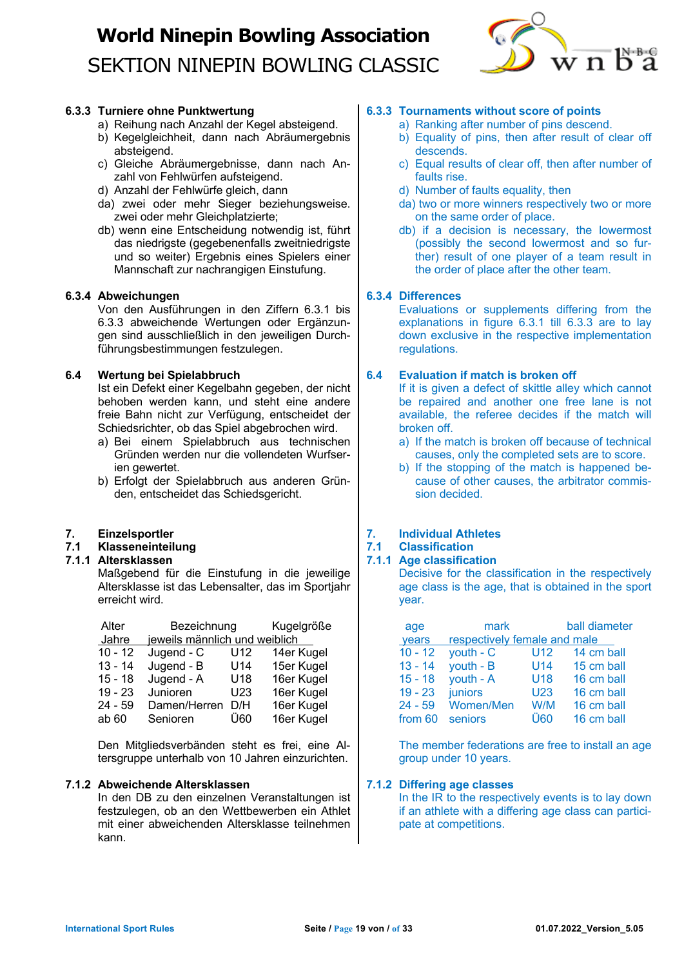

## **6.3.3 Turniere ohne Punktwertung**

- a) Reihung nach Anzahl der Kegel absteigend.
- b) Kegelgleichheit, dann nach Abräumergebnis absteigend.
- c) Gleiche Abräumergebnisse, dann nach Anzahl von Fehlwürfen aufsteigend.
- d) Anzahl der Fehlwürfe gleich, dann
- da) zwei oder mehr Sieger beziehungsweise. zwei oder mehr Gleichplatzierte;
- db) wenn eine Entscheidung notwendig ist, führt das niedrigste (gegebenenfalls zweitniedrigste und so weiter) Ergebnis eines Spielers einer Mannschaft zur nachrangigen Einstufung.

### **6.3.4 Abweichungen**

Von den Ausführungen in den Ziffern 6.3.1 bis 6.3.3 abweichende Wertungen oder Ergänzungen sind ausschließlich in den jeweiligen Durchführungsbestimmungen festzulegen.

### **6.4 Wertung bei Spielabbruch**

Ist ein Defekt einer Kegelbahn gegeben, der nicht behoben werden kann, und steht eine andere freie Bahn nicht zur Verfügung, entscheidet der Schiedsrichter, ob das Spiel abgebrochen wird.

- a) Bei einem Spielabbruch aus technischen Gründen werden nur die vollendeten Wurfserien gewertet.
- b) Erfolgt der Spielabbruch aus anderen Gründen, entscheidet das Schiedsgericht.

## **7. Einzelsportler**

#### **7.1 Klasseneinteilung**

### **7.1.1 Altersklassen**

Maßgebend für die Einstufung in die jeweilige Altersklasse ist das Lebensalter, das im Sportjahr erreicht wird.

| Alter     | Bezeichnung                   |     | Kugelgröße |
|-----------|-------------------------------|-----|------------|
| Jahre     | jeweils männlich und weiblich |     |            |
| $10 - 12$ | Jugend - C                    | U12 | 14er Kugel |
| $13 - 14$ | Jugend - B                    | U14 | 15er Kugel |
| $15 - 18$ | Jugend - A                    | U18 | 16er Kugel |
| $19 - 23$ | Junioren                      | U23 | 16er Kugel |
| 24 - 59   | Damen/Herren                  | D/H | 16er Kugel |
| ab 60     | Senioren                      | Ü60 | 16er Kugel |

Den Mitgliedsverbänden steht es frei, eine Altersgruppe unterhalb von 10 Jahren einzurichten.

## **7.1.2 Abweichende Altersklassen**

In den DB zu den einzelnen Veranstaltungen ist festzulegen, ob an den Wettbewerben ein Athlet mit einer abweichenden Altersklasse teilnehmen kann.

## **6.3.3 Tournaments without score of points**

- a) Ranking after number of pins descend.
- b) Equality of pins, then after result of clear off descends.
- c) Equal results of clear off, then after number of faults rise.
- d) Number of faults equality, then
- da) two or more winners respectively two or more on the same order of place.
- db) if a decision is necessary, the lowermost (possibly the second lowermost and so further) result of one player of a team result in the order of place after the other team.

## **6.3.4 Differences**

Evaluations or supplements differing from the explanations in figure 6.3.1 till 6.3.3 are to lay down exclusive in the respective implementation regulations.

### **6.4 Evaluation if match is broken off**

If it is given a defect of skittle alley which cannot be repaired and another one free lane is not available, the referee decides if the match will broken off.

- a) If the match is broken off because of technical causes, only the completed sets are to score.
- b) If the stopping of the match is happened because of other causes, the arbitrator commission decided.

## **7. Individual Athletes**

## **7.1 Classification**

## **7.1.1 Age classification**

Decisive for the classification in the respectively age class is the age, that is obtained in the sport year.

| age       | mark                         |                 | ball diameter |
|-----------|------------------------------|-----------------|---------------|
| years     | respectively female and male |                 |               |
| $10 - 12$ | $youth - C$                  | U12             | 14 cm ball    |
| $13 - 14$ | $youth - B$                  | U <sub>14</sub> | 15 cm ball    |
| $15 - 18$ | youth - A                    | U18             | 16 cm ball    |
| $19 - 23$ | juniors                      | U <sub>23</sub> | 16 cm ball    |
| $24 - 59$ | <b>Women/Men</b>             | W/M             | 16 cm ball    |
| from 60   | seniors                      | Ü60             | 16 cm ball    |

The member federations are free to install an age group under 10 years.

## **7.1.2 Differing age classes**

In the IR to the respectively events is to lay down if an athlete with a differing age class can participate at competitions.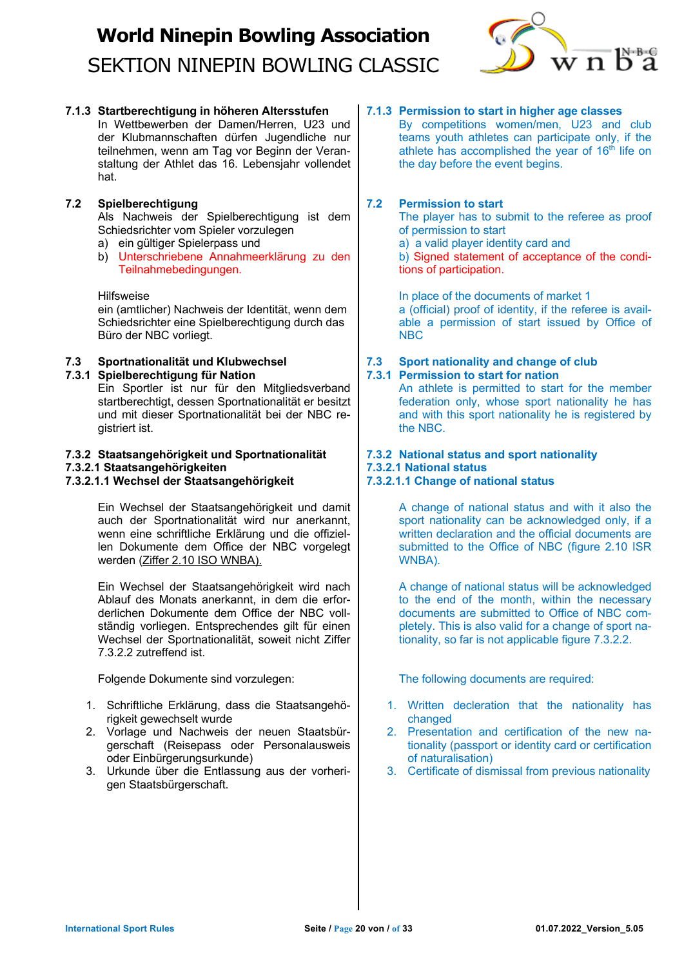

**7.1.3 Startberechtigung in höheren Altersstufen**

In Wettbewerben der Damen/Herren, U23 und der Klubmannschaften dürfen Jugendliche nur teilnehmen, wenn am Tag vor Beginn der Veranstaltung der Athlet das 16. Lebensjahr vollendet hat.

## **7.2 Spielberechtigung**

Als Nachweis der Spielberechtigung ist dem Schiedsrichter vom Spieler vorzulegen

- a) ein gültiger Spielerpass und
- b) Unterschriebene Annahmeerklärung zu den Teilnahmebedingungen.

### Hilfsweise

ein (amtlicher) Nachweis der Identität, wenn dem Schiedsrichter eine Spielberechtigung durch das Büro der NBC vorliegt.

## **7.3 Sportnationalität und Klubwechsel**

## **7.3.1 Spielberechtigung für Nation**

Ein Sportler ist nur für den Mitgliedsverband startberechtigt, dessen Sportnationalität er besitzt und mit dieser Sportnationalität bei der NBC registriert ist.

## **7.3.2 Staatsangehörigkeit und Sportnationalität**

### **7.3.2.1 Staatsangehörigkeiten**

## **7.3.2.1.1 Wechsel der Staatsangehörigkeit**

Ein Wechsel der Staatsangehörigkeit und damit auch der Sportnationalität wird nur anerkannt, wenn eine schriftliche Erklärung und die offiziellen Dokumente dem Office der NBC vorgelegt werden (Ziffer 2.10 ISO WNBA).

Ein Wechsel der Staatsangehörigkeit wird nach Ablauf des Monats anerkannt, in dem die erforderlichen Dokumente dem Office der NBC vollständig vorliegen. Entsprechendes gilt für einen Wechsel der Sportnationalität, soweit nicht Ziffer 7.3.2.2 zutreffend ist.

Folgende Dokumente sind vorzulegen:

- 1. Schriftliche Erklärung, dass die Staatsangehörigkeit gewechselt wurde
- 2. Vorlage und Nachweis der neuen Staatsbürgerschaft (Reisepass oder Personalausweis oder Einbürgerungsurkunde)
- 3. Urkunde über die Entlassung aus der vorherigen Staatsbürgerschaft.

## **7.1.3 Permission to start in higher age classes**

By competitions women/men, U23 and club teams youth athletes can participate only, if the athlete has accomplished the year of  $16<sup>th</sup>$  life on the day before the event begins.

## **7.2 Permission to start**

The player has to submit to the referee as proof of permission to start

a) a valid player identity card and

b) Signed statement of acceptance of the conditions of participation.

In place of the documents of market 1 a (official) proof of identity, if the referee is available a permission of start issued by Office of NBC

## **7.3 Sport nationality and change of club**

## **7.3.1 Permission to start for nation**

An athlete is permitted to start for the member federation only, whose sport nationality he has and with this sport nationality he is registered by the NBC.

## **7.3.2 National status and sport nationality**

## **7.3.2.1 National status**

**7.3.2.1.1 Change of national status**

A change of national status and with it also the sport nationality can be acknowledged only, if a written declaration and the official documents are submitted to the Office of NBC (figure 2.10 ISR WNBA).

A change of national status will be acknowledged to the end of the month, within the necessary documents are submitted to Office of NBC completely. This is also valid for a change of sport nationality, so far is not applicable figure 7.3.2.2.

The following documents are required:

- 1. Written decleration that the nationality has changed
- 2. Presentation and certification of the new nationality (passport or identity card or certification of naturalisation)
- 3. Certificate of dismissal from previous nationality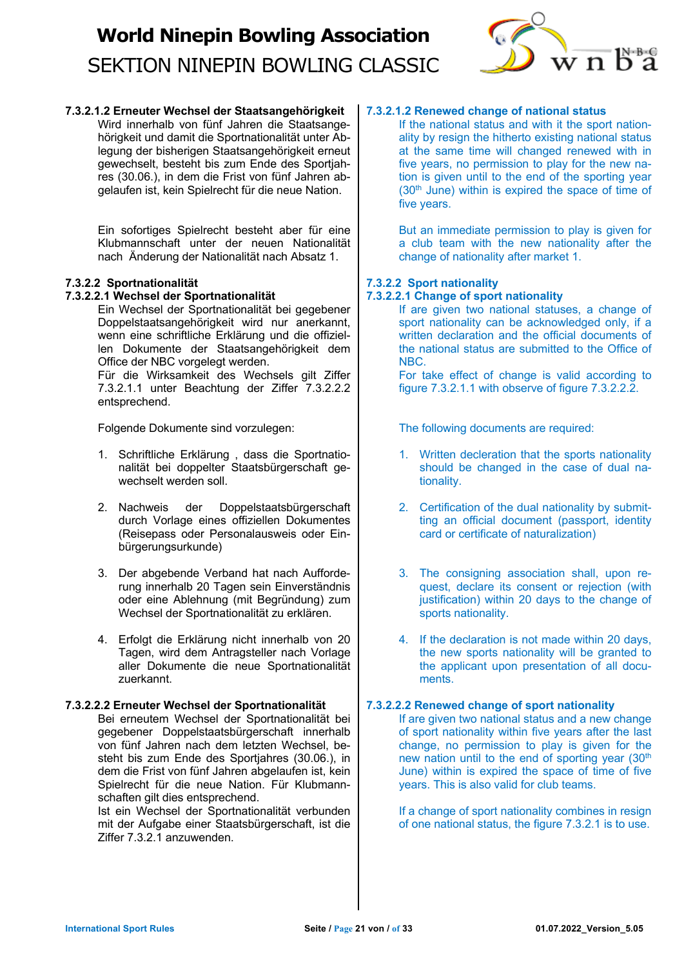

**7.3.2.1.2 Erneuter Wechsel der Staatsangehörigkeit** Wird innerhalb von fünf Jahren die Staatsangehörigkeit und damit die Sportnationalität unter Ablegung der bisherigen Staatsangehörigkeit erneut gewechselt, besteht bis zum Ende des Sportjahres (30.06.), in dem die Frist von fünf Jahren abgelaufen ist, kein Spielrecht für die neue Nation.

> Ein sofortiges Spielrecht besteht aber für eine Klubmannschaft unter der neuen Nationalität nach Änderung der Nationalität nach Absatz 1.

## **7.3.2.2 Sportnationalität**

## **7.3.2.2.1 Wechsel der Sportnationalität**

Ein Wechsel der Sportnationalität bei gegebener Doppelstaatsangehörigkeit wird nur anerkannt, wenn eine schriftliche Erklärung und die offiziellen Dokumente der Staatsangehörigkeit dem Office der NBC vorgelegt werden.

Für die Wirksamkeit des Wechsels gilt Ziffer 7.3.2.1.1 unter Beachtung der Ziffer 7.3.2.2.2 entsprechend.

Folgende Dokumente sind vorzulegen:

- 1. Schriftliche Erklärung , dass die Sportnationalität bei doppelter Staatsbürgerschaft gewechselt werden soll.
- 2. Nachweis der Doppelstaatsbürgerschaft durch Vorlage eines offiziellen Dokumentes (Reisepass oder Personalausweis oder Einbürgerungsurkunde)
- 3. Der abgebende Verband hat nach Aufforderung innerhalb 20 Tagen sein Einverständnis oder eine Ablehnung (mit Begründung) zum Wechsel der Sportnationalität zu erklären.
- 4. Erfolgt die Erklärung nicht innerhalb von 20 Tagen, wird dem Antragsteller nach Vorlage aller Dokumente die neue Sportnationalität zuerkannt.

## **7.3.2.2.2 Erneuter Wechsel der Sportnationalität**

Bei erneutem Wechsel der Sportnationalität bei gegebener Doppelstaatsbürgerschaft innerhalb von fünf Jahren nach dem letzten Wechsel, besteht bis zum Ende des Sportjahres (30.06.), in dem die Frist von fünf Jahren abgelaufen ist, kein Spielrecht für die neue Nation. Für Klubmannschaften gilt dies entsprechend.

Ist ein Wechsel der Sportnationalität verbunden mit der Aufgabe einer Staatsbürgerschaft, ist die Ziffer 7.3.2.1 anzuwenden.

## **7.3.2.1.2 Renewed change of national status**

If the national status and with it the sport nationality by resign the hitherto existing national status at the same time will changed renewed with in five years, no permission to play for the new nation is given until to the end of the sporting year  $(30<sup>th</sup>$  June) within is expired the space of time of five years.

But an immediate permission to play is given for a club team with the new nationality after the change of nationality after market 1.

## **7.3.2.2 Sport nationality**

### **7.3.2.2.1 Change of sport nationality**

If are given two national statuses, a change of sport nationality can be acknowledged only, if a written declaration and the official documents of the national status are submitted to the Office of NBC.

For take effect of change is valid according to figure 7.3.2.1.1 with observe of figure 7.3.2.2.2.

The following documents are required:

- 1. Written decleration that the sports nationality should be changed in the case of dual nationality.
- 2. Certification of the dual nationality by submitting an official document (passport, identity card or certificate of naturalization)
- 3. The consigning association shall, upon request, declare its consent or rejection (with justification) within 20 days to the change of sports nationality.
- 4. If the declaration is not made within 20 days, the new sports nationality will be granted to the applicant upon presentation of all documents.

## **7.3.2.2.2 Renewed change of sport nationality**

If are given two national status and a new change of sport nationality within five years after the last change, no permission to play is given for the new nation until to the end of sporting year (30<sup>th</sup>) June) within is expired the space of time of five years. This is also valid for club teams.

If a change of sport nationality combines in resign of one national status, the figure 7.3.2.1 is to use.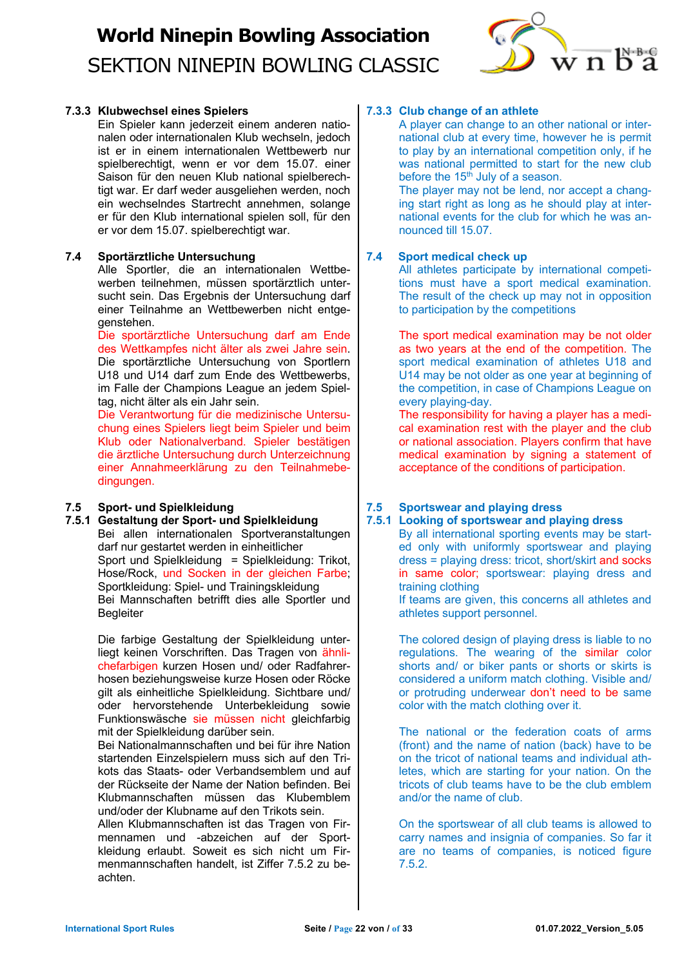

## **7.3.3 Klubwechsel eines Spielers**

Ein Spieler kann jederzeit einem anderen nationalen oder internationalen Klub wechseln, jedoch ist er in einem internationalen Wettbewerb nur spielberechtigt, wenn er vor dem 15.07. einer Saison für den neuen Klub national spielberechtigt war. Er darf weder ausgeliehen werden, noch ein wechselndes Startrecht annehmen, solange er für den Klub international spielen soll, für den er vor dem 15.07. spielberechtigt war.

### **7.4 Sportärztliche Untersuchung**

Alle Sportler, die an internationalen Wettbewerben teilnehmen, müssen sportärztlich untersucht sein. Das Ergebnis der Untersuchung darf einer Teilnahme an Wettbewerben nicht entgegenstehen.

Die sportärztliche Untersuchung darf am Ende des Wettkampfes nicht älter als zwei Jahre sein. Die sportärztliche Untersuchung von Sportlern U18 und U14 darf zum Ende des Wettbewerbs, im Falle der Champions League an jedem Spieltag, nicht älter als ein Jahr sein.

Die Verantwortung für die medizinische Untersuchung eines Spielers liegt beim Spieler und beim Klub oder Nationalverband. Spieler bestätigen die ärztliche Untersuchung durch Unterzeichnung einer Annahmeerklärung zu den Teilnahmebedingungen.

## **7.5 Sport- und Spielkleidung**

**7.5.1 Gestaltung der Sport- und Spielkleidung** Bei allen internationalen Sportveranstaltungen darf nur gestartet werden in einheitlicher Sport und Spielkleidung = Spielkleidung: Trikot, Hose/Rock, und Socken in der gleichen Farbe; Sportkleidung: Spiel- und Trainingskleidung Bei Mannschaften betrifft dies alle Sportler und **Begleiter** 

> Die farbige Gestaltung der Spielkleidung unterliegt keinen Vorschriften. Das Tragen von ähnlichefarbigen kurzen Hosen und/ oder Radfahrerhosen beziehungsweise kurze Hosen oder Röcke gilt als einheitliche Spielkleidung. Sichtbare und/ oder hervorstehende Unterbekleidung sowie Funktionswäsche sie müssen nicht gleichfarbig mit der Spielkleidung darüber sein.

> Bei Nationalmannschaften und bei für ihre Nation startenden Einzelspielern muss sich auf den Trikots das Staats- oder Verbandsemblem und auf der Rückseite der Name der Nation befinden. Bei Klubmannschaften müssen das Klubemblem und/oder der Klubname auf den Trikots sein.

> Allen Klubmannschaften ist das Tragen von Firmennamen und -abzeichen auf der Sportkleidung erlaubt. Soweit es sich nicht um Firmenmannschaften handelt, ist Ziffer 7.5.2 zu beachten.

## **7.3.3 Club change of an athlete**

A player can change to an other national or international club at every time, however he is permit to play by an international competition only, if he was national permitted to start for the new club before the  $15<sup>th</sup>$  July of a season.

The player may not be lend, nor accept a changing start right as long as he should play at international events for the club for which he was announced till 15.07.

### **7.4 Sport medical check up**

All athletes participate by international competitions must have a sport medical examination. The result of the check up may not in opposition to participation by the competitions

The sport medical examination may be not older as two years at the end of the competition. The sport medical examination of athletes U18 and U14 may be not older as one year at beginning of the competition, in case of Champions League on every playing-day.

The responsibility for having a player has a medical examination rest with the player and the club or national association. Players confirm that have medical examination by signing a statement of acceptance of the conditions of participation.

## **7.5 Sportswear and playing dress**

**7.5.1 Looking of sportswear and playing dress** By all international sporting events may be started only with uniformly sportswear and playing dress = playing dress: tricot, short/skirt and socks in same color; sportswear: playing dress and training clothing If teams are given, this concerns all athletes and

athletes support personnel.

The colored design of playing dress is liable to no regulations. The wearing of the similar color shorts and/ or biker pants or shorts or skirts is considered a uniform match clothing. Visible and/ or protruding underwear don't need to be same color with the match clothing over it.

The national or the federation coats of arms (front) and the name of nation (back) have to be on the tricot of national teams and individual athletes, which are starting for your nation. On the tricots of club teams have to be the club emblem and/or the name of club.

On the sportswear of all club teams is allowed to carry names and insignia of companies. So far it are no teams of companies, is noticed figure 7.5.2.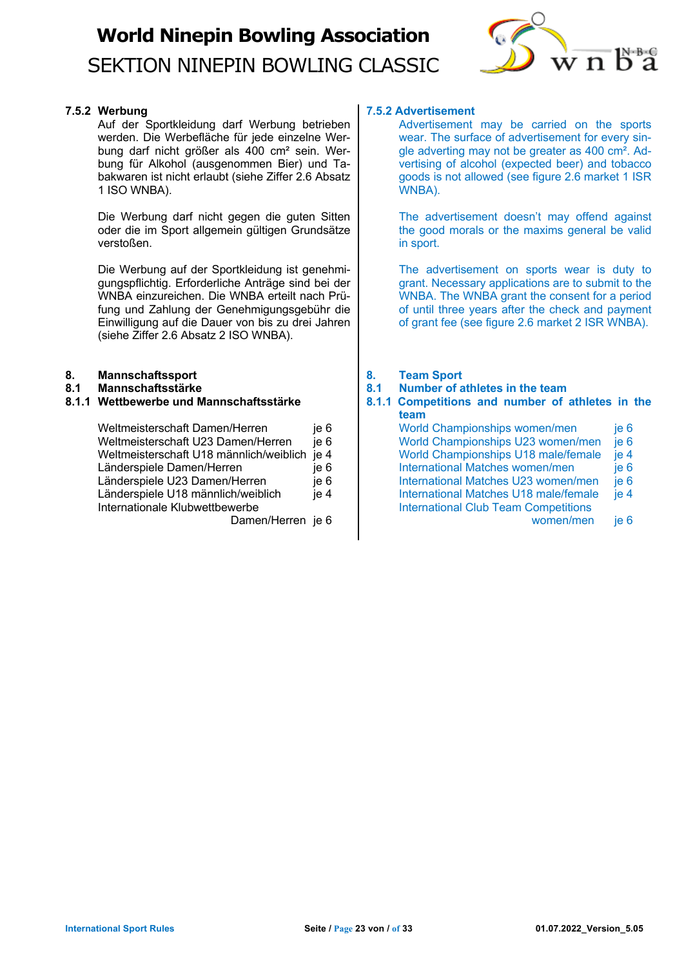

## **7.5.2 Werbung**

Auf der Sportkleidung darf Werbung betrieben werden. Die Werbefläche für jede einzelne Werbung darf nicht größer als 400 cm² sein. Werbung für Alkohol (ausgenommen Bier) und Tabakwaren ist nicht erlaubt (siehe Ziffer 2.6 Absatz 1 ISO WNBA).

Die Werbung darf nicht gegen die guten Sitten oder die im Sport allgemein gültigen Grundsätze verstoßen.

Die Werbung auf der Sportkleidung ist genehmigungspflichtig. Erforderliche Anträge sind bei der WNBA einzureichen. Die WNBA erteilt nach Prüfung und Zahlung der Genehmigungsgebühr die Einwilligung auf die Dauer von bis zu drei Jahren (siehe Ziffer 2.6 Absatz 2 ISO WNBA).

## **8. Mannschaftssport**

**8.1 Mannschaftsstärke**

### **8.1.1 Wettbewerbe und Mannschaftsstärke**

| Weltmeisterschaft Damen/Herren          | je 6 |
|-----------------------------------------|------|
| Weltmeisterschaft U23 Damen/Herren      | ie 6 |
| Weltmeisterschaft U18 männlich/weiblich | je 4 |
| Länderspiele Damen/Herren               | je 6 |
| Länderspiele U23 Damen/Herren           | je 6 |
| Länderspiele U18 männlich/weiblich      | je 4 |
| Internationale Klubwettbewerbe          |      |
| $D = 2$                                 |      |

Damen/Herren je 6

## **7.5.2 Advertisement**

Advertisement may be carried on the sports wear. The surface of advertisement for every single adverting may not be greater as 400 cm². Advertising of alcohol (expected beer) and tobacco goods is not allowed (see figure 2.6 market 1 ISR WNBA).

The advertisement doesn't may offend against the good morals or the maxims general be valid in sport.

The advertisement on sports wear is duty to grant. Necessary applications are to submit to the WNBA. The WNBA grant the consent for a period of until three years after the check and payment of grant fee (see figure 2.6 market 2 ISR WNBA).

### **8. Team Sport**

**8.1 Number of athletes in the team**

### **8.1.1 Competitions and number of athletes in the team**

World Championships women/men je 6 World Championships U23 women/men je 6 World Championships U18 male/female ie 4 International Matches women/men ie 6 International Matches U23 women/men je 6 International Matches U18 male/female je 4 International Club Team Competitions women/men je 6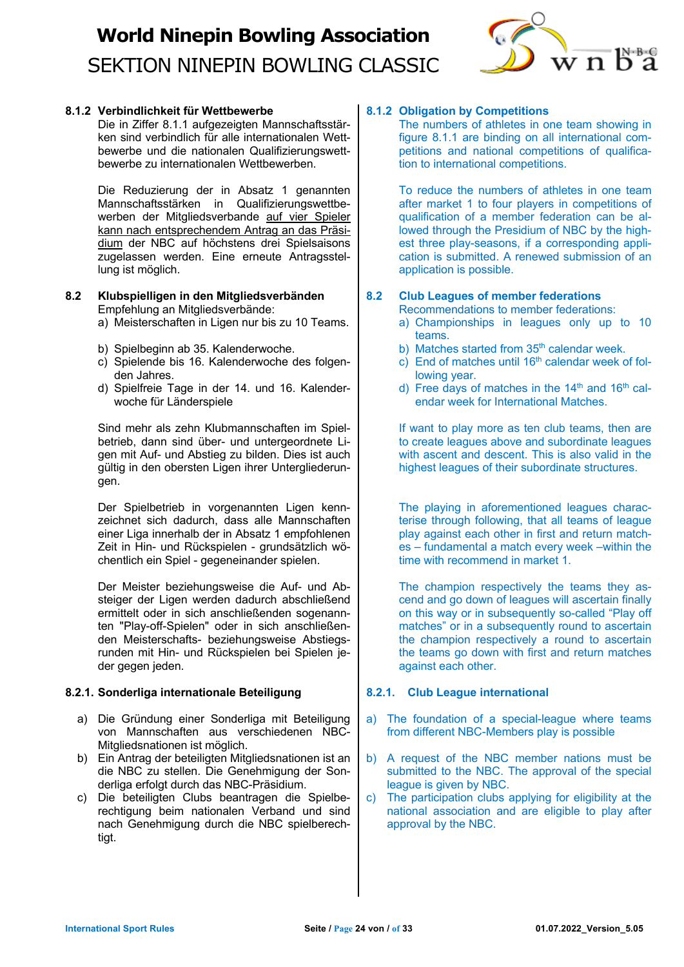

### **8.1.2 Verbindlichkeit für Wettbewerbe**

Die in Ziffer 8.1.1 aufgezeigten Mannschaftsstärken sind verbindlich für alle internationalen Wettbewerbe und die nationalen Qualifizierungswettbewerbe zu internationalen Wettbewerben.

Die Reduzierung der in Absatz 1 genannten Mannschaftsstärken in Qualifizierungswettbewerben der Mitgliedsverbande auf vier Spieler kann nach entsprechendem Antrag an das Präsidium der NBC auf höchstens drei Spielsaisons zugelassen werden. Eine erneute Antragsstellung ist möglich.

#### **8.2 Klubspielligen in den Mitgliedsverbänden** Empfehlung an Mitgliedsverbände:

- a) Meisterschaften in Ligen nur bis zu 10 Teams.
- b) Spielbeginn ab 35. Kalenderwoche.
- c) Spielende bis 16. Kalenderwoche des folgenden Jahres.
- d) Spielfreie Tage in der 14. und 16. Kalenderwoche für Länderspiele

Sind mehr als zehn Klubmannschaften im Spielbetrieb, dann sind über- und untergeordnete Ligen mit Auf- und Abstieg zu bilden. Dies ist auch gültig in den obersten Ligen ihrer Untergliederungen.

Der Spielbetrieb in vorgenannten Ligen kennzeichnet sich dadurch, dass alle Mannschaften einer Liga innerhalb der in Absatz 1 empfohlenen Zeit in Hin- und Rückspielen - grundsätzlich wöchentlich ein Spiel - gegeneinander spielen.

Der Meister beziehungsweise die Auf- und Absteiger der Ligen werden dadurch abschließend ermittelt oder in sich anschließenden sogenannten "Play-off-Spielen" oder in sich anschließenden Meisterschafts- beziehungsweise Abstiegsrunden mit Hin- und Rückspielen bei Spielen jeder gegen jeden.

#### **8.2.1. Sonderliga internationale Beteiligung**

- a) Die Gründung einer Sonderliga mit Beteiligung von Mannschaften aus verschiedenen NBC-Mitgliedsnationen ist möglich.
- b) Ein Antrag der beteiligten Mitgliedsnationen ist an die NBC zu stellen. Die Genehmigung der Sonderliga erfolgt durch das NBC-Präsidium.
- c) Die beteiligten Clubs beantragen die Spielberechtigung beim nationalen Verband und sind nach Genehmigung durch die NBC spielberechtigt.

## **8.1.2 Obligation by Competitions**

The numbers of athletes in one team showing in figure 8.1.1 are binding on all international competitions and national competitions of qualification to international competitions.

To reduce the numbers of athletes in one team after market 1 to four players in competitions of qualification of a member federation can be allowed through the Presidium of NBC by the highest three play-seasons, if a corresponding application is submitted. A renewed submission of an application is possible.

## **8.2 Club Leagues of member federations**

Recommendations to member federations:

- a) Championships in leagues only up to 10 teams.
- b) Matches started from 35<sup>th</sup> calendar week.
- c) End of matches until  $16<sup>th</sup>$  calendar week of following year.
- d) Free days of matches in the  $14<sup>th</sup>$  and  $16<sup>th</sup>$  calendar week for International Matches.

If want to play more as ten club teams, then are to create leagues above and subordinate leagues with ascent and descent. This is also valid in the highest leagues of their subordinate structures.

The playing in aforementioned leagues characterise through following, that all teams of league play against each other in first and return matches – fundamental a match every week –within the time with recommend in market 1.

The champion respectively the teams they ascend and go down of leagues will ascertain finally on this way or in subsequently so-called "Play off matches" or in a subsequently round to ascertain the champion respectively a round to ascertain the teams go down with first and return matches against each other.

#### **8.2.1. Club League international**

- a) The foundation of a special-league where teams from different NBC-Members play is possible
- b) A request of the NBC member nations must be submitted to the NBC. The approval of the special league is given by NBC.
- c) The participation clubs applying for eligibility at the national association and are eligible to play after approval by the NBC.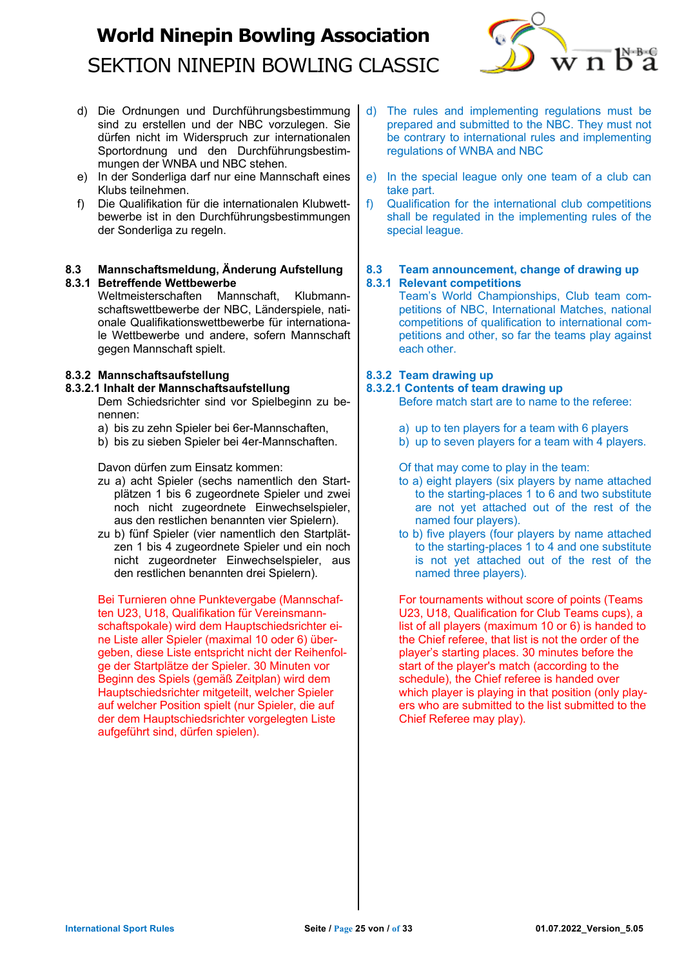

- d) Die Ordnungen und Durchführungsbestimmung sind zu erstellen und der NBC vorzulegen. Sie dürfen nicht im Widerspruch zur internationalen Sportordnung und den Durchführungsbestimmungen der WNBA und NBC stehen.
- e) In der Sonderliga darf nur eine Mannschaft eines Klubs teilnehmen.
- f) Die Qualifikation für die internationalen Klubwettbewerbe ist in den Durchführungsbestimmungen der Sonderliga zu regeln.

### **8.3 Mannschaftsmeldung, Änderung Aufstellung 8.3.1 Betreffende Wettbewerbe**

Weltmeisterschaften Mannschaft, Klubmannschaftswettbewerbe der NBC, Länderspiele, nationale Qualifikationswettbewerbe für internationale Wettbewerbe und andere, sofern Mannschaft gegen Mannschaft spielt.

## **8.3.2 Mannschaftsaufstellung**

## **8.3.2.1 Inhalt der Mannschaftsaufstellung**

Dem Schiedsrichter sind vor Spielbeginn zu benennen:

- a) bis zu zehn Spieler bei 6er-Mannschaften,
- b) bis zu sieben Spieler bei 4er-Mannschaften.

Davon dürfen zum Einsatz kommen:

- zu a) acht Spieler (sechs namentlich den Startplätzen 1 bis 6 zugeordnete Spieler und zwei noch nicht zugeordnete Einwechselspieler, aus den restlichen benannten vier Spielern).
- zu b) fünf Spieler (vier namentlich den Startplätzen 1 bis 4 zugeordnete Spieler und ein noch nicht zugeordneter Einwechselspieler, aus den restlichen benannten drei Spielern).

Bei Turnieren ohne Punktevergabe (Mannschaften U23, U18, Qualifikation für Vereinsmannschaftspokale) wird dem Hauptschiedsrichter eine Liste aller Spieler (maximal 10 oder 6) übergeben, diese Liste entspricht nicht der Reihenfolge der Startplätze der Spieler. 30 Minuten vor Beginn des Spiels (gemäß Zeitplan) wird dem Hauptschiedsrichter mitgeteilt, welcher Spieler auf welcher Position spielt (nur Spieler, die auf der dem Hauptschiedsrichter vorgelegten Liste aufgeführt sind, dürfen spielen).

- d) The rules and implementing regulations must be prepared and submitted to the NBC. They must not be contrary to international rules and implementing regulations of WNBA and NBC
- e) In the special league only one team of a club can take part.
- f) Qualification for the international club competitions shall be regulated in the implementing rules of the special league.

## **8.3 Team announcement, change of drawing up 8.3.1 Relevant competitions**

Team's World Championships, Club team competitions of NBC, International Matches, national competitions of qualification to international competitions and other, so far the teams play against each other.

## **8.3.2 Team drawing up**

## **8.3.2.1 Contents of team drawing up**

Before match start are to name to the referee:

- a) up to ten players for a team with 6 players
- b) up to seven players for a team with 4 players.

Of that may come to play in the team:

- to a) eight players (six players by name attached to the starting-places 1 to 6 and two substitute are not yet attached out of the rest of the named four players).
- to b) five players (four players by name attached to the starting-places 1 to 4 and one substitute is not yet attached out of the rest of the named three players).

For tournaments without score of points (Teams U23, U18, Qualification for Club Teams cups), a list of all players (maximum 10 or 6) is handed to the Chief referee, that list is not the order of the player's starting places. 30 minutes before the start of the player's match (according to the schedule), the Chief referee is handed over which player is playing in that position (only players who are submitted to the list submitted to the Chief Referee may play).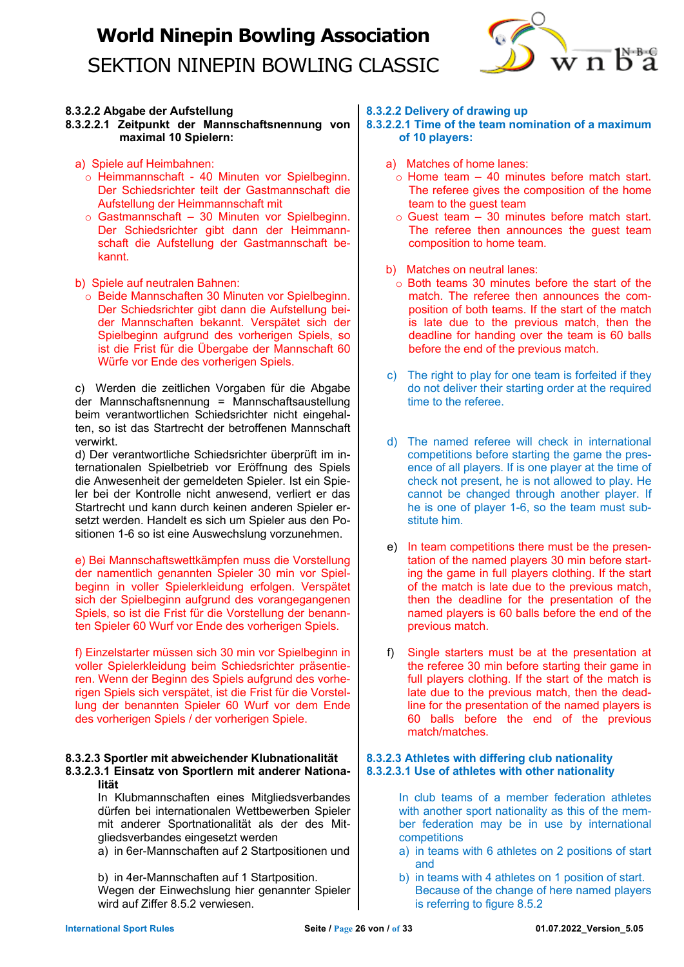

## **8.3.2.2 Abgabe der Aufstellung**

**8.3.2.2.1 Zeitpunkt der Mannschaftsnennung von maximal 10 Spielern:**

- a) Spiele auf Heimbahnen:
	- o Heimmannschaft 40 Minuten vor Spielbeginn. Der Schiedsrichter teilt der Gastmannschaft die Aufstellung der Heimmannschaft mit
	- o Gastmannschaft 30 Minuten vor Spielbeginn. Der Schiedsrichter gibt dann der Heimmannschaft die Aufstellung der Gastmannschaft bekannt.

b) Spiele auf neutralen Bahnen:

o Beide Mannschaften 30 Minuten vor Spielbeginn. Der Schiedsrichter gibt dann die Aufstellung beider Mannschaften bekannt. Verspätet sich der Spielbeginn aufgrund des vorherigen Spiels, so ist die Frist für die Übergabe der Mannschaft 60 Würfe vor Ende des vorherigen Spiels.

c) Werden die zeitlichen Vorgaben für die Abgabe der Mannschaftsnennung = Mannschaftsaustellung beim verantwortlichen Schiedsrichter nicht eingehalten, so ist das Startrecht der betroffenen Mannschaft verwirkt.

d) Der verantwortliche Schiedsrichter überprüft im internationalen Spielbetrieb vor Eröffnung des Spiels die Anwesenheit der gemeldeten Spieler. Ist ein Spieler bei der Kontrolle nicht anwesend, verliert er das Startrecht und kann durch keinen anderen Spieler ersetzt werden. Handelt es sich um Spieler aus den Positionen 1-6 so ist eine Auswechslung vorzunehmen.

e) Bei Mannschaftswettkämpfen muss die Vorstellung der namentlich genannten Spieler 30 min vor Spielbeginn in voller Spielerkleidung erfolgen. Verspätet sich der Spielbeginn aufgrund des vorangegangenen Spiels, so ist die Frist für die Vorstellung der benannten Spieler 60 Wurf vor Ende des vorherigen Spiels.

f) Einzelstarter müssen sich 30 min vor Spielbeginn in voller Spielerkleidung beim Schiedsrichter präsentieren. Wenn der Beginn des Spiels aufgrund des vorherigen Spiels sich verspätet, ist die Frist für die Vorstellung der benannten Spieler 60 Wurf vor dem Ende des vorherigen Spiels / der vorherigen Spiele.

#### **8.3.2.3 Sportler mit abweichender Klubnationalität 8.3.2.3.1 Einsatz von Sportlern mit anderer Nationalität**

In Klubmannschaften eines Mitgliedsverbandes dürfen bei internationalen Wettbewerben Spieler mit anderer Sportnationalität als der des Mitgliedsverbandes eingesetzt werden

a) in 6er-Mannschaften auf 2 Startpositionen und

b) in 4er-Mannschaften auf 1 Startposition. Wegen der Einwechslung hier genannter Spieler wird auf Ziffer 8.5.2 verwiesen.

**8.3.2.2 Delivery of drawing up**

**8.3.2.2.1 Time of the team nomination of a maximum of 10 players:** 

- a) Matches of home lanes:
	- $\circ$  Home team 40 minutes before match start. The referee gives the composition of the home team to the guest team
	- $\circ$  Guest team 30 minutes before match start. The referee then announces the guest team composition to home team.
- b) Matches on neutral lanes:
	- $\sim$  Both teams 30 minutes before the start of the match. The referee then announces the composition of both teams. If the start of the match is late due to the previous match, then the deadline for handing over the team is 60 balls before the end of the previous match.
- c) The right to play for one team is forfeited if they do not deliver their starting order at the required time to the referee.
- d) The named referee will check in international competitions before starting the game the presence of all players. If is one player at the time of check not present, he is not allowed to play. He cannot be changed through another player. If he is one of player 1-6, so the team must substitute him.
- e) In team competitions there must be the presentation of the named players 30 min before starting the game in full players clothing. If the start of the match is late due to the previous match, then the deadline for the presentation of the named players is 60 balls before the end of the previous match.
- f) Single starters must be at the presentation at the referee 30 min before starting their game in full players clothing. If the start of the match is late due to the previous match, then the deadline for the presentation of the named players is 60 balls before the end of the previous match/matches.

## **8.3.2.3 Athletes with differing club nationality 8.3.2.3.1 Use of athletes with other nationality**

In club teams of a member federation athletes with another sport nationality as this of the member federation may be in use by international competitions

- a) in teams with 6 athletes on 2 positions of start and
- b) in teams with 4 athletes on 1 position of start. Because of the change of here named players is referring to figure 8.5.2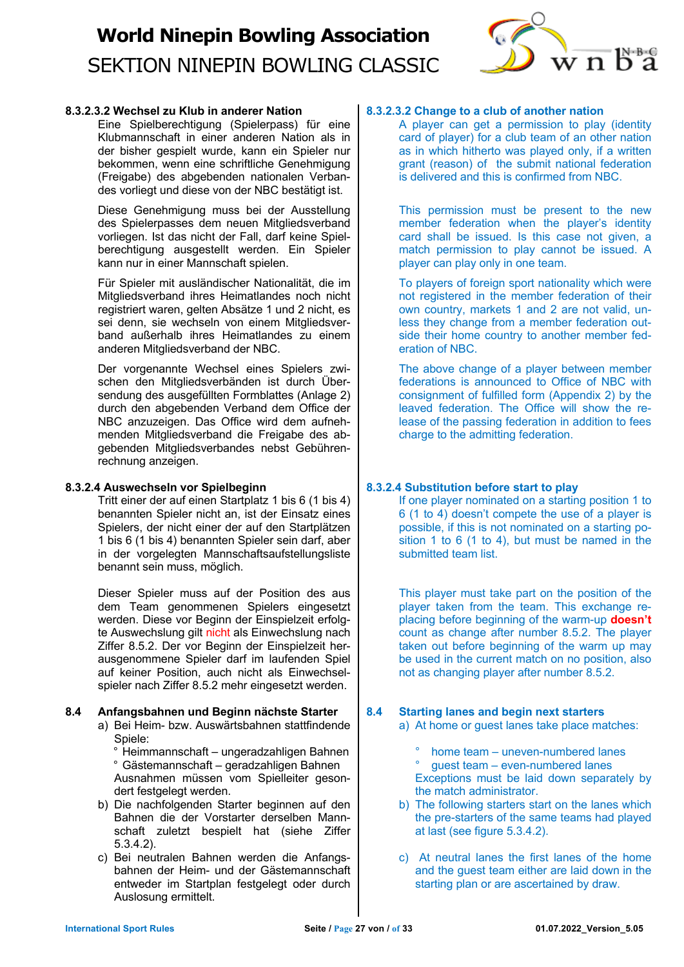

## **8.3.2.3.2 Wechsel zu Klub in anderer Nation**

Eine Spielberechtigung (Spielerpass) für eine Klubmannschaft in einer anderen Nation als in der bisher gespielt wurde, kann ein Spieler nur bekommen, wenn eine schriftliche Genehmigung (Freigabe) des abgebenden nationalen Verbandes vorliegt und diese von der NBC bestätigt ist.

Diese Genehmigung muss bei der Ausstellung des Spielerpasses dem neuen Mitgliedsverband vorliegen. Ist das nicht der Fall, darf keine Spielberechtigung ausgestellt werden. Ein Spieler kann nur in einer Mannschaft spielen.

Für Spieler mit ausländischer Nationalität, die im Mitgliedsverband ihres Heimatlandes noch nicht registriert waren, gelten Absätze 1 und 2 nicht, es sei denn, sie wechseln von einem Mitgliedsverband außerhalb ihres Heimatlandes zu einem anderen Mitgliedsverband der NBC.

Der vorgenannte Wechsel eines Spielers zwischen den Mitgliedsverbänden ist durch Übersendung des ausgefüllten Formblattes (Anlage 2) durch den abgebenden Verband dem Office der NBC anzuzeigen. Das Office wird dem aufnehmenden Mitgliedsverband die Freigabe des abgebenden Mitgliedsverbandes nebst Gebührenrechnung anzeigen.

## **8.3.2.4 Auswechseln vor Spielbeginn**

Tritt einer der auf einen Startplatz 1 bis 6 (1 bis 4) benannten Spieler nicht an, ist der Einsatz eines Spielers, der nicht einer der auf den Startplätzen 1 bis 6 (1 bis 4) benannten Spieler sein darf, aber in der vorgelegten Mannschaftsaufstellungsliste benannt sein muss, möglich.

Dieser Spieler muss auf der Position des aus dem Team genommenen Spielers eingesetzt werden. Diese vor Beginn der Einspielzeit erfolgte Auswechslung gilt nicht als Einwechslung nach Ziffer 8.5.2. Der vor Beginn der Einspielzeit herausgenommene Spieler darf im laufenden Spiel auf keiner Position, auch nicht als Einwechselspieler nach Ziffer 8.5.2 mehr eingesetzt werden.

## **8.4 Anfangsbahnen und Beginn nächste Starter**

a) Bei Heim- bzw. Auswärtsbahnen stattfindende Spiele:

° Heimmannschaft – ungeradzahligen Bahnen ° Gästemannschaft – geradzahligen Bahnen Ausnahmen müssen vom Spielleiter gesondert festgelegt werden.

- b) Die nachfolgenden Starter beginnen auf den Bahnen die der Vorstarter derselben Mannschaft zuletzt bespielt hat (siehe Ziffer 5.3.4.2).
- c) Bei neutralen Bahnen werden die Anfangsbahnen der Heim- und der Gästemannschaft entweder im Startplan festgelegt oder durch Auslosung ermittelt.

## **8.3.2.3.2 Change to a club of another nation**

A player can get a permission to play (identity card of player) for a club team of an other nation as in which hitherto was played only, if a written grant (reason) of the submit national federation is delivered and this is confirmed from NBC.

This permission must be present to the new member federation when the player's identity card shall be issued. Is this case not given, a match permission to play cannot be issued. A player can play only in one team.

To players of foreign sport nationality which were not registered in the member federation of their own country, markets 1 and 2 are not valid, unless they change from a member federation outside their home country to another member federation of NBC.

The above change of a player between member federations is announced to Office of NBC with consignment of fulfilled form (Appendix 2) by the leaved federation. The Office will show the release of the passing federation in addition to fees charge to the admitting federation.

## **8.3.2.4 Substitution before start to play**

If one player nominated on a starting position 1 to 6 (1 to 4) doesn't compete the use of a player is possible, if this is not nominated on a starting position 1 to 6 (1 to 4), but must be named in the submitted team list.

This player must take part on the position of the player taken from the team. This exchange replacing before beginning of the warm-up **doesn't** count as change after number 8.5.2. The player taken out before beginning of the warm up may be used in the current match on no position, also not as changing player after number 8.5.2.

## **8.4 Starting lanes and begin next starters**

- a) At home or guest lanes take place matches:
	- home team uneven-numbered lanes ° guest team – even-numbered lanes Exceptions must be laid down separately by the match administrator.
- b) The following starters start on the lanes which the pre-starters of the same teams had played at last (see figure 5.3.4.2).
- c) At neutral lanes the first lanes of the home and the guest team either are laid down in the starting plan or are ascertained by draw.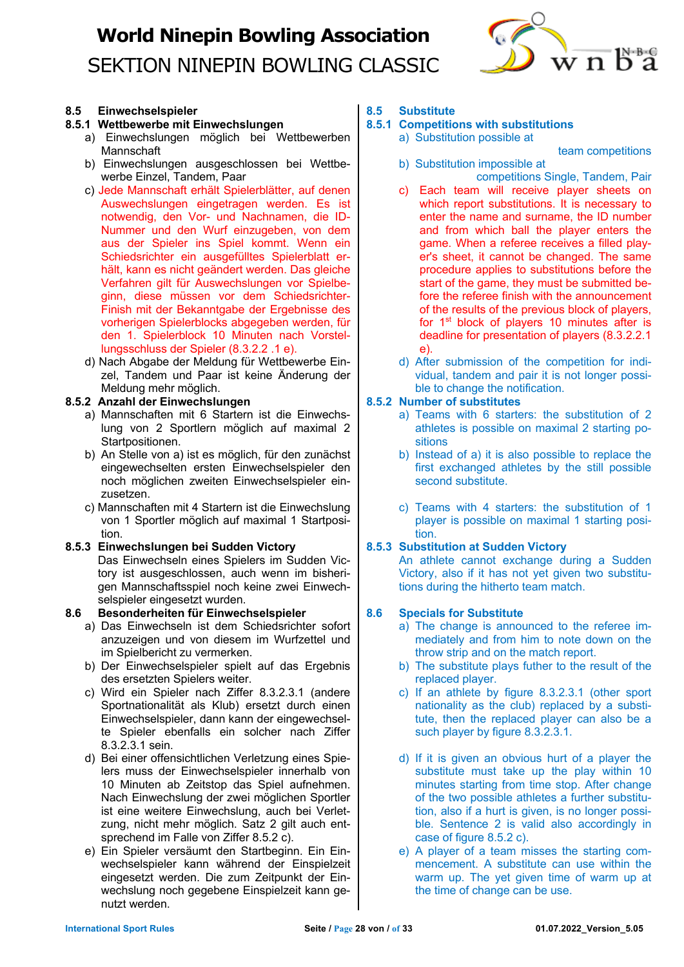

### **8.5 Einwechselspieler**

### **8.5.1 Wettbewerbe mit Einwechslungen**

- a) Einwechslungen möglich bei Wettbewerben Mannschaft
- b) Einwechslungen ausgeschlossen bei Wettbewerbe Einzel, Tandem, Paar
- c) Jede Mannschaft erhält Spielerblätter, auf denen Auswechslungen eingetragen werden. Es ist notwendig, den Vor- und Nachnamen, die ID-Nummer und den Wurf einzugeben, von dem aus der Spieler ins Spiel kommt. Wenn ein Schiedsrichter ein ausgefülltes Spielerblatt erhält, kann es nicht geändert werden. Das gleiche Verfahren gilt für Auswechslungen vor Spielbeginn, diese müssen vor dem Schiedsrichter-Finish mit der Bekanntgabe der Ergebnisse des vorherigen Spielerblocks abgegeben werden, für den 1. Spielerblock 10 Minuten nach Vorstellungsschluss der Spieler (8.3.2.2 .1 e).
- d) Nach Abgabe der Meldung für Wettbewerbe Einzel, Tandem und Paar ist keine Änderung der Meldung mehr möglich.

### **8.5.2 Anzahl der Einwechslungen**

- a) Mannschaften mit 6 Startern ist die Einwechslung von 2 Sportlern möglich auf maximal 2 Startpositionen.
- b) An Stelle von a) ist es möglich, für den zunächst eingewechselten ersten Einwechselspieler den noch möglichen zweiten Einwechselspieler einzusetzen.
- c) Mannschaften mit 4 Startern ist die Einwechslung von 1 Sportler möglich auf maximal 1 Startposition.

## **8.5.3 Einwechslungen bei Sudden Victory**

Das Einwechseln eines Spielers im Sudden Victory ist ausgeschlossen, auch wenn im bisherigen Mannschaftsspiel noch keine zwei Einwechselspieler eingesetzt wurden.

## **8.6 Besonderheiten für Einwechselspieler**

- a) Das Einwechseln ist dem Schiedsrichter sofort anzuzeigen und von diesem im Wurfzettel und im Spielbericht zu vermerken.
- b) Der Einwechselspieler spielt auf das Ergebnis des ersetzten Spielers weiter.
- c) Wird ein Spieler nach Ziffer 8.3.2.3.1 (andere Sportnationalität als Klub) ersetzt durch einen Einwechselspieler, dann kann der eingewechselte Spieler ebenfalls ein solcher nach Ziffer 8.3.2.3.1 sein.
- d) Bei einer offensichtlichen Verletzung eines Spielers muss der Einwechselspieler innerhalb von 10 Minuten ab Zeitstop das Spiel aufnehmen. Nach Einwechslung der zwei möglichen Sportler ist eine weitere Einwechslung, auch bei Verletzung, nicht mehr möglich. Satz 2 gilt auch entsprechend im Falle von Ziffer 8.5.2 c).
- e) Ein Spieler versäumt den Startbeginn. Ein Einwechselspieler kann während der Einspielzeit eingesetzt werden. Die zum Zeitpunkt der Einwechslung noch gegebene Einspielzeit kann genutzt werden.

#### **8.5 Substitute**

## **8.5.1 Competitions with substitutions**

a) Substitution possible at

team competitions

- b) Substitution impossible at competitions Single, Tandem, Pair
- c) Each team will receive player sheets on which report substitutions. It is necessary to enter the name and surname, the ID number and from which ball the player enters the game. When a referee receives a filled player's sheet, it cannot be changed. The same procedure applies to substitutions before the start of the game, they must be submitted before the referee finish with the announcement of the results of the previous block of players, for 1<sup>st</sup> block of players 10 minutes after is deadline for presentation of players (8.3.2.2.1 e).
- d) After submission of the competition for individual, tandem and pair it is not longer possible to change the notification.

## **8.5.2 Number of substitutes**

- a) Teams with 6 starters: the substitution of 2 athletes is possible on maximal 2 starting positions
- b) Instead of a) it is also possible to replace the first exchanged athletes by the still possible second substitute.
- c) Teams with 4 starters: the substitution of 1 player is possible on maximal 1 starting position.

## **8.5.3 Substitution at Sudden Victory**

An athlete cannot exchange during a Sudden Victory, also if it has not yet given two substitutions during the hitherto team match.

## **8.6 Specials for Substitute**

- a) The change is announced to the referee immediately and from him to note down on the throw strip and on the match report.
- b) The substitute plays futher to the result of the replaced player.
- c) If an athlete by figure 8.3.2.3.1 (other sport nationality as the club) replaced by a substitute, then the replaced player can also be a such player by figure 8.3.2.3.1.
- d) If it is given an obvious hurt of a player the substitute must take up the play within 10 minutes starting from time stop. After change of the two possible athletes a further substitution, also if a hurt is given, is no longer possible. Sentence 2 is valid also accordingly in case of figure 8.5.2 c).
- e) A player of a team misses the starting commencement. A substitute can use within the warm up. The yet given time of warm up at the time of change can be use.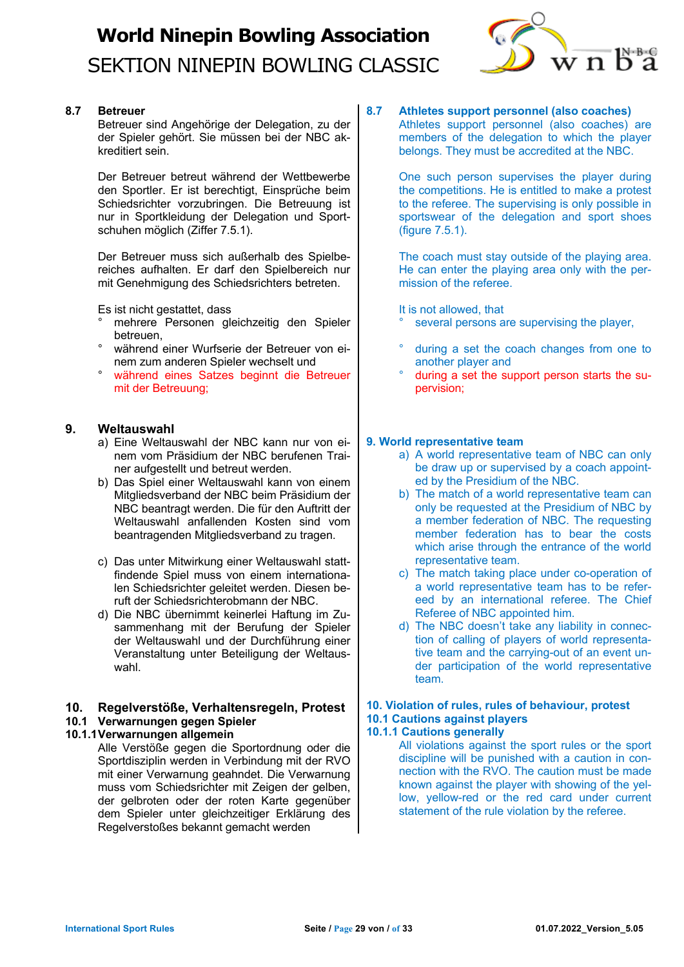

## **8.7 Betreuer**

Betreuer sind Angehörige der Delegation, zu der der Spieler gehört. Sie müssen bei der NBC akkreditiert sein.

Der Betreuer betreut während der Wettbewerbe den Sportler. Er ist berechtigt, Einsprüche beim Schiedsrichter vorzubringen. Die Betreuung ist nur in Sportkleidung der Delegation und Sportschuhen möglich (Ziffer 7.5.1).

Der Betreuer muss sich außerhalb des Spielbereiches aufhalten. Er darf den Spielbereich nur mit Genehmigung des Schiedsrichters betreten.

Es ist nicht gestattet, dass

- ° mehrere Personen gleichzeitig den Spieler betreuen,
- während einer Wurfserie der Betreuer von einem zum anderen Spieler wechselt und
- ° während eines Satzes beginnt die Betreuer mit der Betreuung;

## **9. Weltauswahl**

- a) Eine Weltauswahl der NBC kann nur von einem vom Präsidium der NBC berufenen Trainer aufgestellt und betreut werden.
- b) Das Spiel einer Weltauswahl kann von einem Mitgliedsverband der NBC beim Präsidium der NBC beantragt werden. Die für den Auftritt der Weltauswahl anfallenden Kosten sind vom beantragenden Mitgliedsverband zu tragen.
- c) Das unter Mitwirkung einer Weltauswahl stattfindende Spiel muss von einem internationalen Schiedsrichter geleitet werden. Diesen beruft der Schiedsrichterobmann der NBC.
- d) Die NBC übernimmt keinerlei Haftung im Zusammenhang mit der Berufung der Spieler der Weltauswahl und der Durchführung einer Veranstaltung unter Beteiligung der Weltauswahl.

## **10. Regelverstöße, Verhaltensregeln, Protest 10.1 Verwarnungen gegen Spieler**

**10.1.1Verwarnungen allgemein**

Alle Verstöße gegen die Sportordnung oder die Sportdisziplin werden in Verbindung mit der RVO mit einer Verwarnung geahndet. Die Verwarnung muss vom Schiedsrichter mit Zeigen der gelben, der gelbroten oder der roten Karte gegenüber dem Spieler unter gleichzeitiger Erklärung des Regelverstoßes bekannt gemacht werden

## **8.7 Athletes support personnel (also coaches)**

Athletes support personnel (also coaches) are members of the delegation to which the player belongs. They must be accredited at the NBC.

One such person supervises the player during the competitions. He is entitled to make a protest to the referee. The supervising is only possible in sportswear of the delegation and sport shoes (figure 7.5.1).

The coach must stay outside of the playing area. He can enter the playing area only with the permission of the referee.

It is not allowed, that

- several persons are supervising the player.
- during a set the coach changes from one to another player and
- ° during a set the support person starts the supervision;

## **9. World representative team**

- a) A world representative team of NBC can only be draw up or supervised by a coach appointed by the Presidium of the NBC.
- b) The match of a world representative team can only be requested at the Presidium of NBC by a member federation of NBC. The requesting member federation has to bear the costs which arise through the entrance of the world representative team.
- c) The match taking place under co-operation of a world representative team has to be refereed by an international referee. The Chief Referee of NBC appointed him.
- d) The NBC doesn't take any liability in connection of calling of players of world representative team and the carrying-out of an event under participation of the world representative team.

## **10. Violation of rules, rules of behaviour, protest 10.1 Cautions against players**

## **10.1.1 Cautions generally**

All violations against the sport rules or the sport discipline will be punished with a caution in connection with the RVO. The caution must be made known against the player with showing of the yellow, yellow-red or the red card under current statement of the rule violation by the referee.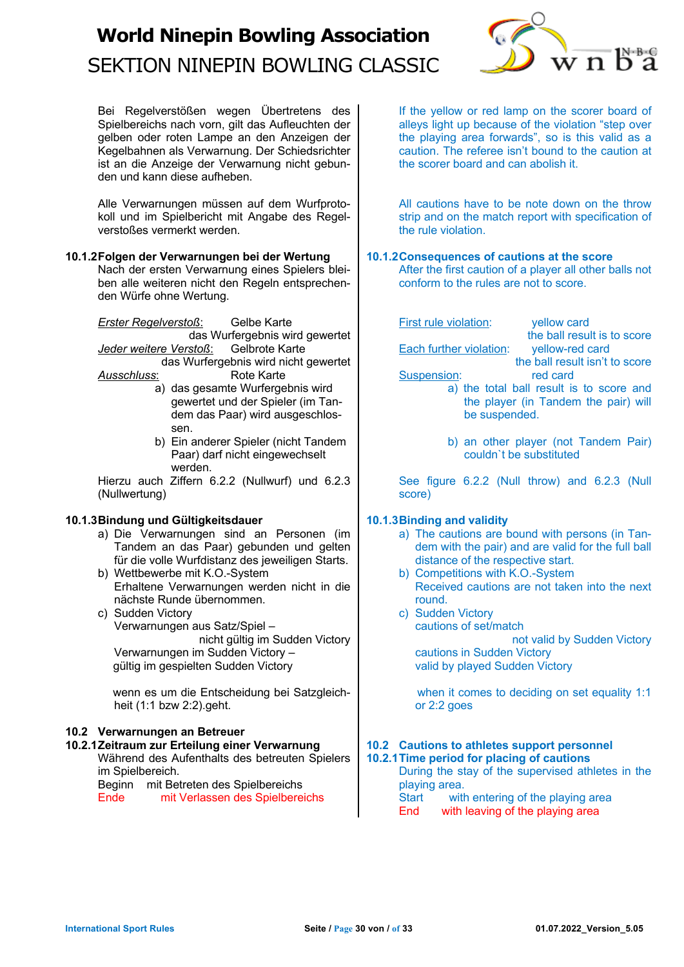

Bei Regelverstößen wegen Übertretens des Spielbereichs nach vorn, gilt das Aufleuchten der gelben oder roten Lampe an den Anzeigen der Kegelbahnen als Verwarnung. Der Schiedsrichter ist an die Anzeige der Verwarnung nicht gebunden und kann diese aufheben.

Alle Verwarnungen müssen auf dem Wurfprotokoll und im Spielbericht mit Angabe des Regelverstoßes vermerkt werden.

#### **10.1.2Folgen der Verwarnungen bei der Wertung**

Nach der ersten Verwarnung eines Spielers bleiben alle weiteren nicht den Regeln entsprechenden Würfe ohne Wertung.

*Erster Regelverstoß*: Gelbe Karte

das Wurfergebnis wird gewertet<br>stoß: Gelbrote Karte **Jeder weitere Verstoß:** 

das Wurfergebnis wird nicht gewertet *Ausschluss*: Rote Karte

- a) das gesamte Wurfergebnis wird gewertet und der Spieler (im Tandem das Paar) wird ausgeschlossen.
	- b) Ein anderer Spieler (nicht Tandem Paar) darf nicht eingewechselt werden.

Hierzu auch Ziffern 6.2.2 (Nullwurf) und 6.2.3 (Nullwertung)

## **10.1.3Bindung und Gültigkeitsdauer**

- a) Die Verwarnungen sind an Personen (im Tandem an das Paar) gebunden und gelten für die volle Wurfdistanz des jeweiligen Starts.
- b) Wettbewerbe mit K.O.-System Erhaltene Verwarnungen werden nicht in die nächste Runde übernommen.
- c) Sudden Victory Verwarnungen aus Satz/Spiel – nicht gültig im Sudden Victory Verwarnungen im Sudden Victory – gültig im gespielten Sudden Victory

 wenn es um die Entscheidung bei Satzgleichheit (1:1 bzw 2:2).geht.

## **10.2 Verwarnungen an Betreuer**

**10.2.1Zeitraum zur Erteilung einer Verwarnung** Während des Aufenthalts des betreuten Spielers im Spielbereich. Beginn mit Betreten des Spielbereichs

Ende mit Verlassen des Spielbereichs

If the yellow or red lamp on the scorer board of alleys light up because of the violation "step over the playing area forwards", so is this valid as a caution. The referee isn't bound to the caution at the scorer board and can abolish it.

All cautions have to be note down on the throw strip and on the match report with specification of the rule violation.

### **10.1.2Consequences of cautions at the score**

After the first caution of a player all other balls not conform to the rules are not to score.

First rule violation: vellow card

Each further violation: vellow-red card

the ball result isn't to score

the ball result is to score

Suspension: red card

- a) the total ball result is to score and the player (in Tandem the pair) will be suspended.
- b) an other player (not Tandem Pair) couldn`t be substituted

See figure 6.2.2 (Null throw) and 6.2.3 (Null score)

## **10.1.3Binding and validity**

- a) The cautions are bound with persons (in Tandem with the pair) and are valid for the full ball distance of the respective start.
- b) Competitions with K.O.-System Received cautions are not taken into the next round.
- c) Sudden Victory cautions of set/match not valid by Sudden Victory cautions in Sudden Victory

valid by played Sudden Victory

when it comes to deciding on set equality 1:1 or 2:2 goes

## **10.2 Cautions to athletes support personnel**

**10.2.1Time period for placing of cautions** During the stay of the supervised athletes in the playing area.<br>Start with with entering of the playing area End with leaving of the playing area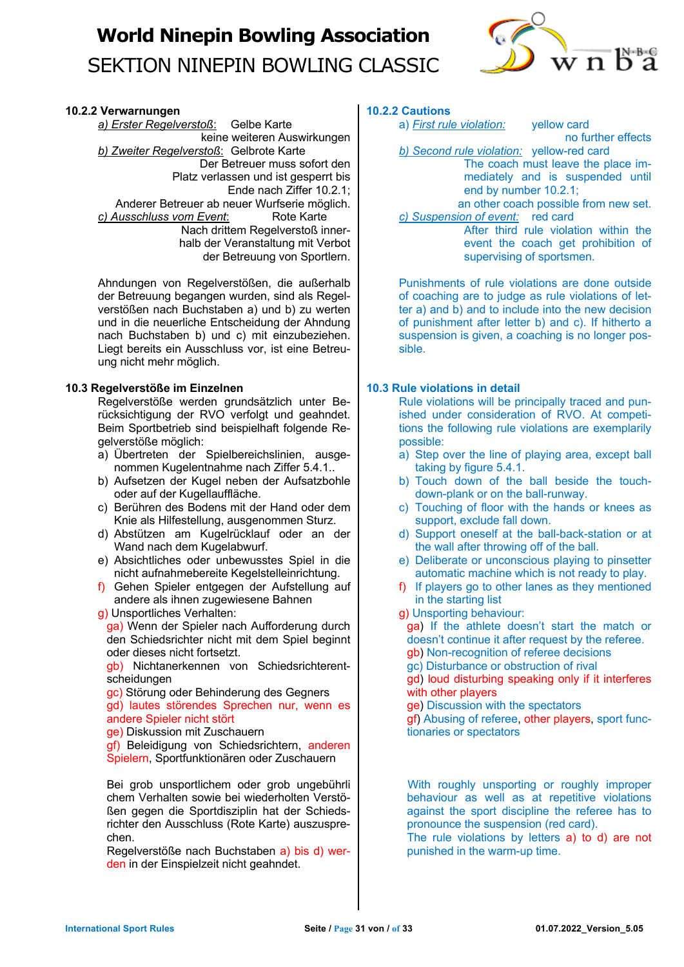

#### **10.2.2 Verwarnungen**

*a) Erster Regelverstoß*: Gelbe Karte keine weiteren Auswirkungen *b) Zweiter Regelverstoß*: Gelbrote Karte Der Betreuer muss sofort den Platz verlassen und ist gesperrt bis Ende nach Ziffer 10.2.1; Anderer Betreuer ab neuer Wurfserie möglich. *c) Ausschluss vom Event*: Rote Karte Nach drittem Regelverstoß innerhalb der Veranstaltung mit Verbot der Betreuung von Sportlern.

Ahndungen von Regelverstößen, die außerhalb der Betreuung begangen wurden, sind als Regelverstößen nach Buchstaben a) und b) zu werten und in die neuerliche Entscheidung der Ahndung nach Buchstaben b) und c) mit einzubeziehen. Liegt bereits ein Ausschluss vor, ist eine Betreuung nicht mehr möglich.

#### **10.3 Regelverstöße im Einzelnen**

Regelverstöße werden grundsätzlich unter Berücksichtigung der RVO verfolgt und geahndet. Beim Sportbetrieb sind beispielhaft folgende Regelverstöße möglich:

- a) Übertreten der Spielbereichslinien, ausgenommen Kugelentnahme nach Ziffer 5.4.1..
- b) Aufsetzen der Kugel neben der Aufsatzbohle oder auf der Kugellauffläche.
- c) Berühren des Bodens mit der Hand oder dem Knie als Hilfestellung, ausgenommen Sturz.
- d) Abstützen am Kugelrücklauf oder an der Wand nach dem Kugelabwurf.
- e) Absichtliches oder unbewusstes Spiel in die nicht aufnahmebereite Kegelstelleinrichtung.
- f) Gehen Spieler entgegen der Aufstellung auf andere als ihnen zugewiesene Bahnen
- g) Unsportliches Verhalten:

ga) Wenn der Spieler nach Aufforderung durch den Schiedsrichter nicht mit dem Spiel beginnt oder dieses nicht fortsetzt.

gb) Nichtanerkennen von Schiedsrichterentscheidungen

gc) Störung oder Behinderung des Gegners gd) lautes störendes Sprechen nur, wenn es andere Spieler nicht stört

ge) Diskussion mit Zuschauern

gf) Beleidigung von Schiedsrichtern, anderen Spielern, Sportfunktionären oder Zuschauern

Bei grob unsportlichem oder grob ungebührli chem Verhalten sowie bei wiederholten Verstößen gegen die Sportdisziplin hat der Schiedsrichter den Ausschluss (Rote Karte) auszusprechen.

Regelverstöße nach Buchstaben a) bis d) werden in der Einspielzeit nicht geahndet.

## **10.2.2 Cautions**

a) *First rule violation:* yellow card

no further effects

*b) Second rule violation:* yellow-red card The coach must leave the place immediately and is suspended until end by number 10.2.1;

an other coach possible from new set. *c) Suspension of event:* red card After third rule violation within the

event the coach get prohibition of supervising of sportsmen.

Punishments of rule violations are done outside of coaching are to judge as rule violations of letter a) and b) and to include into the new decision of punishment after letter b) and c). If hitherto a suspension is given, a coaching is no longer possible.

### **10.3 Rule violations in detail**

Rule violations will be principally traced and punished under consideration of RVO. At competitions the following rule violations are exemplarily possible:

- a) Step over the line of playing area, except ball taking by figure 5.4.1.
- b) Touch down of the ball beside the touchdown-plank or on the ball-runway.
- c) Touching of floor with the hands or knees as support, exclude fall down.
- d) Support oneself at the ball-back-station or at the wall after throwing off of the ball.
- e) Deliberate or unconscious playing to pinsetter automatic machine which is not ready to play.
- f) If players go to other lanes as they mentioned in the starting list
- g) Unsporting behaviour:

ga) If the athlete doesn't start the match or doesn't continue it after request by the referee.

- gb) Non-recognition of referee decisions
- gc) Disturbance or obstruction of rival

gd) loud disturbing speaking only if it interferes with other players

ge) Discussion with the spectators

gf) Abusing of referee, other players, sport functionaries or spectators

With roughly unsporting or roughly improper behaviour as well as at repetitive violations against the sport discipline the referee has to pronounce the suspension (red card).

The rule violations by letters a) to d) are not punished in the warm-up time.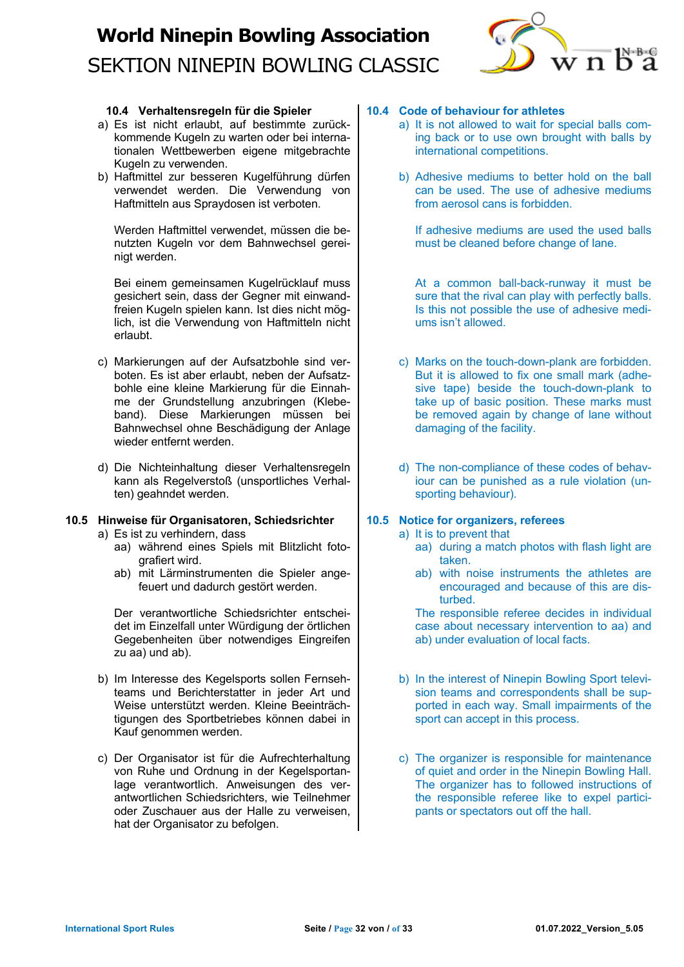

### **10.4 Verhaltensregeln für die Spieler**

- a) Es ist nicht erlaubt, auf bestimmte zurückkommende Kugeln zu warten oder bei internationalen Wettbewerben eigene mitgebrachte Kugeln zu verwenden.
- b) Haftmittel zur besseren Kugelführung dürfen verwendet werden. Die Verwendung von Haftmitteln aus Spraydosen ist verboten.

Werden Haftmittel verwendet, müssen die benutzten Kugeln vor dem Bahnwechsel gereinigt werden.

Bei einem gemeinsamen Kugelrücklauf muss gesichert sein, dass der Gegner mit einwandfreien Kugeln spielen kann. Ist dies nicht möglich, ist die Verwendung von Haftmitteln nicht erlaubt.

- c) Markierungen auf der Aufsatzbohle sind verboten. Es ist aber erlaubt, neben der Aufsatzbohle eine kleine Markierung für die Einnahme der Grundstellung anzubringen (Klebeband). Diese Markierungen müssen bei Bahnwechsel ohne Beschädigung der Anlage wieder entfernt werden.
- d) Die Nichteinhaltung dieser Verhaltensregeln kann als Regelverstoß (unsportliches Verhalten) geahndet werden.

### **10.5 Hinweise für Organisatoren, Schiedsrichter**

- a) Es ist zu verhindern, dass
	- aa) während eines Spiels mit Blitzlicht fotografiert wird.
	- ab) mit Lärminstrumenten die Spieler angefeuert und dadurch gestört werden.

Der verantwortliche Schiedsrichter entscheidet im Einzelfall unter Würdigung der örtlichen Gegebenheiten über notwendiges Eingreifen zu aa) und ab).

- b) Im Interesse des Kegelsports sollen Fernsehteams und Berichterstatter in jeder Art und Weise unterstützt werden. Kleine Beeinträchtigungen des Sportbetriebes können dabei in Kauf genommen werden.
- c) Der Organisator ist für die Aufrechterhaltung von Ruhe und Ordnung in der Kegelsportanlage verantwortlich. Anweisungen des verantwortlichen Schiedsrichters, wie Teilnehmer oder Zuschauer aus der Halle zu verweisen, hat der Organisator zu befolgen.

## **10.4 Code of behaviour for athletes**

- a) It is not allowed to wait for special balls coming back or to use own brought with balls by international competitions.
- b) Adhesive mediums to better hold on the ball can be used. The use of adhesive mediums from aerosol cans is forbidden.

If adhesive mediums are used the used balls must be cleaned before change of lane.

At a common ball-back-runway it must be sure that the rival can play with perfectly balls. Is this not possible the use of adhesive mediums isn't allowed.

- c) Marks on the touch-down-plank are forbidden. But it is allowed to fix one small mark (adhesive tape) beside the touch-down-plank to take up of basic position. These marks must be removed again by change of lane without damaging of the facility.
- d) The non-compliance of these codes of behaviour can be punished as a rule violation (unsporting behaviour).

## **10.5 Notice for organizers, referees**

- a) It is to prevent that
	- aa) during a match photos with flash light are taken.
	- ab) with noise instruments the athletes are encouraged and because of this are disturbed.

The responsible referee decides in individual case about necessary intervention to aa) and ab) under evaluation of local facts.

- b) In the interest of Ninepin Bowling Sport television teams and correspondents shall be supported in each way. Small impairments of the sport can accept in this process.
- c) The organizer is responsible for maintenance of quiet and order in the Ninepin Bowling Hall. The organizer has to followed instructions of the responsible referee like to expel participants or spectators out off the hall.